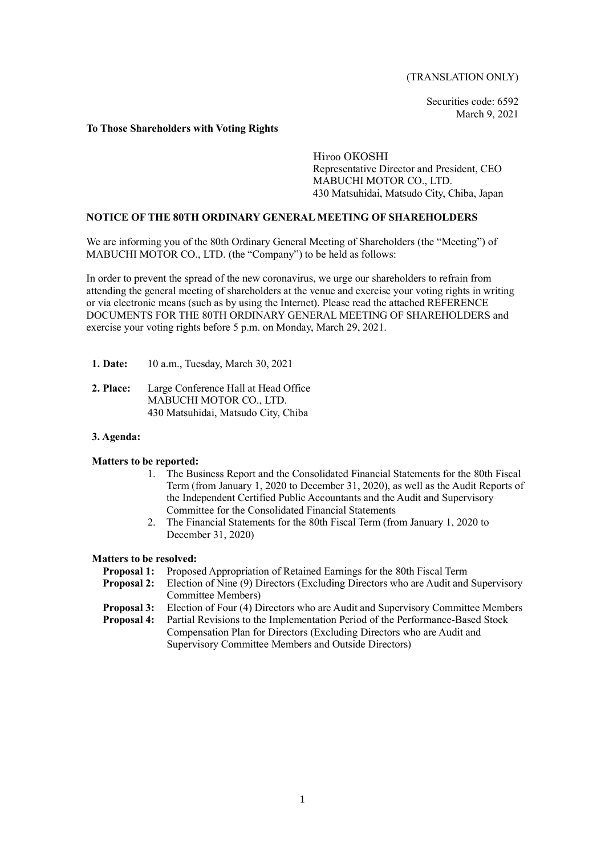(TRANSLATION ONLY)

Securities code: 6592 March 9, 2021

### **To Those Shareholders with Voting Rights**

Hiroo OKOSHI Representative Director and President, CEO MABUCHI MOTOR CO., LTD. 430 Matsuhidai, Matsudo City, Chiba, Japan

### **NOTICE OF THE 80TH ORDINARY GENERAL MEETING OF SHAREHOLDERS**

We are informing you of the 80th Ordinary General Meeting of Shareholders (the "Meeting") of MABUCHI MOTOR CO., LTD. (the "Company") to be held as follows:

In order to prevent the spread of the new coronavirus, we urge our shareholders to refrain from attending the general meeting of shareholders at the venue and exercise your voting rights in writing or via electronic means (such as by using the Internet). Please read the attached REFERENCE DOCUMENTS FOR THE 80TH ORDINARY GENERAL MEETING OF SHAREHOLDERS and exercise your voting rights before 5 p.m. on Monday, March 29, 2021.

- **1. Date:** 10 a.m., Tuesday, March 30, 2021
- **2. Place:** Large Conference Hall at Head Office MABUCHI MOTOR CO., LTD. 430 Matsuhidai, Matsudo City, Chiba

### **3. Agenda:**

### **Matters to be reported:**

- 1. The Business Report and the Consolidated Financial Statements for the 80th Fiscal Term (from January 1, 2020 to December 31, 2020), as well as the Audit Reports of the Independent Certified Public Accountants and the Audit and Supervisory Committee for the Consolidated Financial Statements
- 2. The Financial Statements for the 80th Fiscal Term (from January 1, 2020 to December 31, 2020)

### **Matters to be resolved:**

- **Proposal 1:** Proposed Appropriation of Retained Earnings for the 80th Fiscal Term
- **Proposal 2:** Election of Nine (9) Directors (Excluding Directors who are Audit and Supervisory Committee Members)
- **Proposal 3:** Election of Four (4) Directors who are Audit and Supervisory Committee Members
- **Proposal 4:** Partial Revisions to the Implementation Period of the Performance-Based Stock Compensation Plan for Directors (Excluding Directors who are Audit and Supervisory Committee Members and Outside Directors)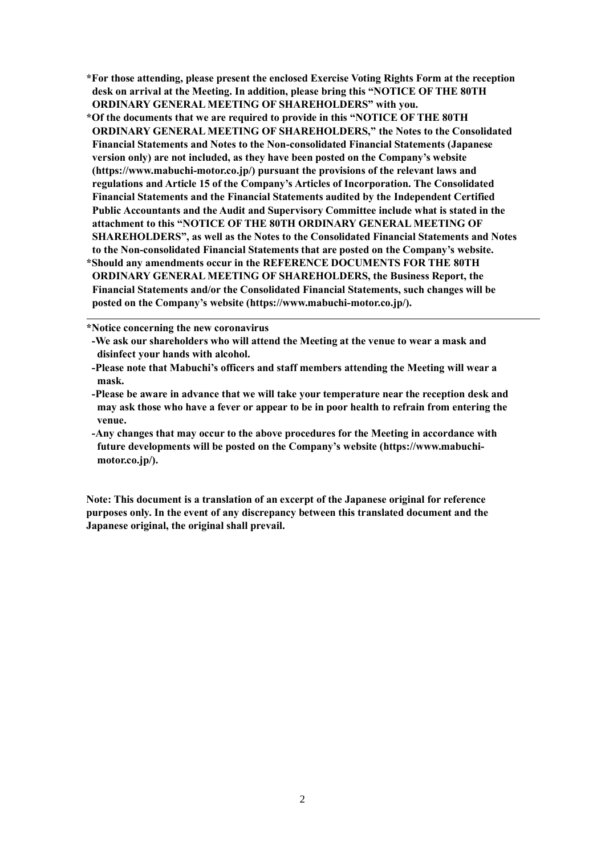- **\*For those attending, please present the enclosed Exercise Voting Rights Form at the reception desk on arrival at the Meeting. In addition, please bring this "NOTICE OF THE 80TH ORDINARY GENERAL MEETING OF SHAREHOLDERS" with you.**
- **\*Of the documents that we are required to provide in this "NOTICE OF THE 80TH ORDINARY GENERAL MEETING OF SHAREHOLDERS," the Notes to the Consolidated Financial Statements and Notes to the Non-consolidated Financial Statements (Japanese version only) are not included, as they have been posted on the Company's website (https://www.mabuchi-motor.co.jp/) pursuant the provisions of the relevant laws and regulations and Article 15 of the Company's Articles of Incorporation. The Consolidated Financial Statements and the Financial Statements audited by the Independent Certified Public Accountants and the Audit and Supervisory Committee include what is stated in the attachment to this "NOTICE OF THE 80TH ORDINARY GENERAL MEETING OF SHAREHOLDERS", as well as the Notes to the Consolidated Financial Statements and Notes to the Non-consolidated Financial Statements that are posted on the Company's website. \*Should any amendments occur in the REFERENCE DOCUMENTS FOR THE 80TH ORDINARY GENERAL MEETING OF SHAREHOLDERS, the Business Report, the Financial Statements and/or the Consolidated Financial Statements, such changes will be posted on the Company's website (https://www.mabuchi-motor.co.jp/).**

**\*Notice concerning the new coronavirus**

**-Any changes that may occur to the above procedures for the Meeting in accordance with future developments will be posted on the Company's website (https://www.mabuchimotor.co.jp/).**

**Note: This document is a translation of an excerpt of the Japanese original for reference purposes only. In the event of any discrepancy between this translated document and the Japanese original, the original shall prevail.**

**<sup>-</sup>We ask our shareholders who will attend the Meeting at the venue to wear a mask and disinfect your hands with alcohol.**

**<sup>-</sup>Please note that Mabuchi's officers and staff members attending the Meeting will wear a mask.**

**<sup>-</sup>Please be aware in advance that we will take your temperature near the reception desk and may ask those who have a fever or appear to be in poor health to refrain from entering the venue.**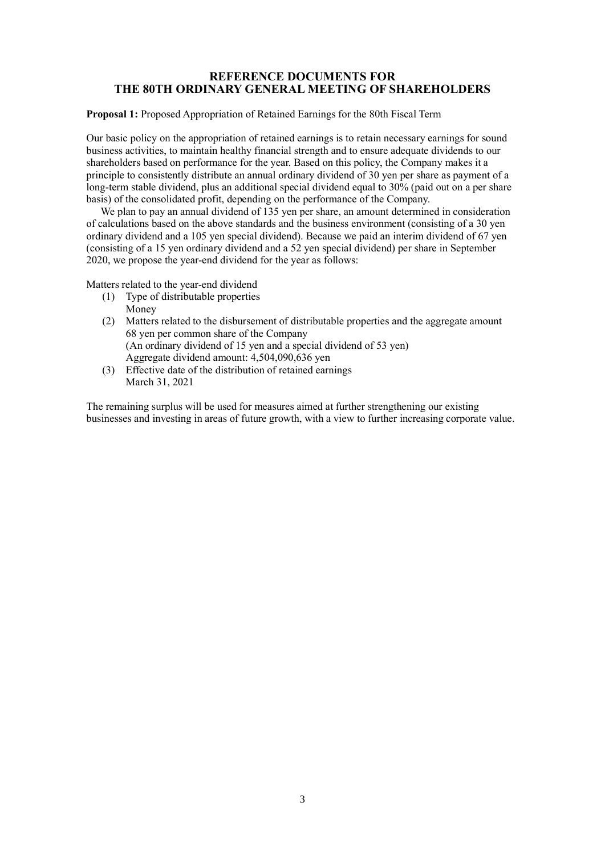## **REFERENCE DOCUMENTS FOR THE 80TH ORDINARY GENERAL MEETING OF SHAREHOLDERS**

**Proposal 1:** Proposed Appropriation of Retained Earnings for the 80th Fiscal Term

Our basic policy on the appropriation of retained earnings is to retain necessary earnings for sound business activities, to maintain healthy financial strength and to ensure adequate dividends to our shareholders based on performance for the year. Based on this policy, the Company makes it a principle to consistently distribute an annual ordinary dividend of 30 yen per share as payment of a long-term stable dividend, plus an additional special dividend equal to 30% (paid out on a per share basis) of the consolidated profit, depending on the performance of the Company.

We plan to pay an annual dividend of 135 yen per share, an amount determined in consideration of calculations based on the above standards and the business environment (consisting of a 30 yen ordinary dividend and a 105 yen special dividend). Because we paid an interim dividend of 67 yen (consisting of a 15 yen ordinary dividend and a 52 yen special dividend) per share in September 2020, we propose the year-end dividend for the year as follows:

Matters related to the year-end dividend

- (1) Type of distributable properties Money
- (2) Matters related to the disbursement of distributable properties and the aggregate amount 68 yen per common share of the Company (An ordinary dividend of 15 yen and a special dividend of 53 yen) Aggregate dividend amount: 4,504,090,636 yen
- (3) Effective date of the distribution of retained earnings March 31, 2021

The remaining surplus will be used for measures aimed at further strengthening our existing businesses and investing in areas of future growth, with a view to further increasing corporate value.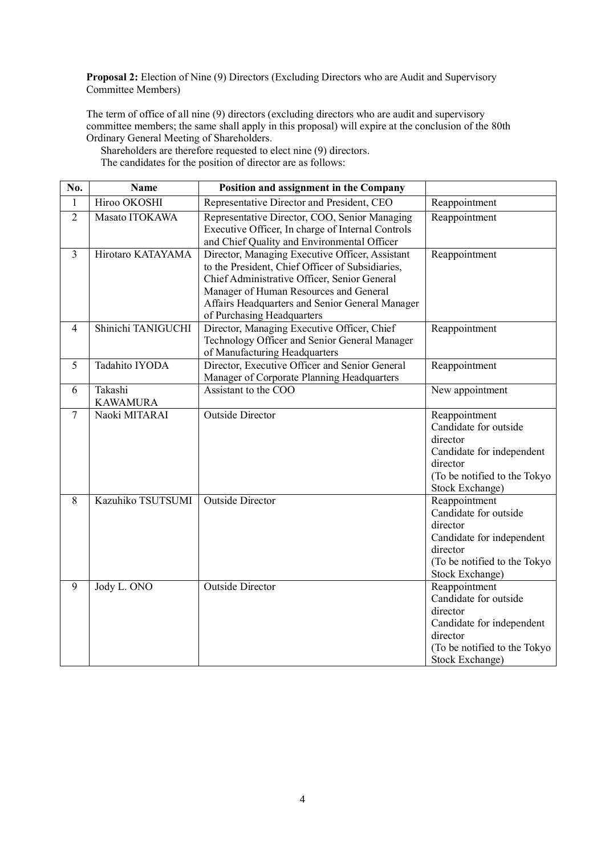**Proposal 2:** Election of Nine (9) Directors (Excluding Directors who are Audit and Supervisory Committee Members)

The term of office of all nine (9) directors (excluding directors who are audit and supervisory committee members; the same shall apply in this proposal) will expire at the conclusion of the 80th Ordinary General Meeting of Shareholders.

Shareholders are therefore requested to elect nine (9) directors. The candidates for the position of director are as follows:

| No.            | <b>Name</b>                | Position and assignment in the Company                                                                                                                                                                                                                                         |                                                                                                                                                |
|----------------|----------------------------|--------------------------------------------------------------------------------------------------------------------------------------------------------------------------------------------------------------------------------------------------------------------------------|------------------------------------------------------------------------------------------------------------------------------------------------|
| $\mathbf{1}$   | Hiroo OKOSHI               | Representative Director and President, CEO                                                                                                                                                                                                                                     | Reappointment                                                                                                                                  |
| $\overline{2}$ | Masato ITOKAWA             | Representative Director, COO, Senior Managing<br>Executive Officer, In charge of Internal Controls<br>and Chief Quality and Environmental Officer                                                                                                                              | Reappointment                                                                                                                                  |
| $\overline{3}$ | Hirotaro KATAYAMA          | Director, Managing Executive Officer, Assistant<br>to the President, Chief Officer of Subsidiaries,<br>Chief Administrative Officer, Senior General<br>Manager of Human Resources and General<br>Affairs Headquarters and Senior General Manager<br>of Purchasing Headquarters | Reappointment                                                                                                                                  |
| $\overline{4}$ | Shinichi TANIGUCHI         | Director, Managing Executive Officer, Chief<br>Technology Officer and Senior General Manager<br>of Manufacturing Headquarters                                                                                                                                                  | Reappointment                                                                                                                                  |
| 5              | Tadahito IYODA             | Director, Executive Officer and Senior General<br>Manager of Corporate Planning Headquarters                                                                                                                                                                                   | Reappointment                                                                                                                                  |
| 6              | Takashi<br><b>KAWAMURA</b> | Assistant to the COO                                                                                                                                                                                                                                                           | New appointment                                                                                                                                |
| 7              | Naoki MITARAI              | <b>Outside Director</b>                                                                                                                                                                                                                                                        | Reappointment<br>Candidate for outside<br>director<br>Candidate for independent<br>director<br>(To be notified to the Tokyo<br>Stock Exchange) |
| 8              | Kazuhiko TSUTSUMI          | <b>Outside Director</b>                                                                                                                                                                                                                                                        | Reappointment<br>Candidate for outside<br>director<br>Candidate for independent<br>director<br>(To be notified to the Tokyo<br>Stock Exchange) |
| 9              | Jody L. ONO                | <b>Outside Director</b>                                                                                                                                                                                                                                                        | Reappointment<br>Candidate for outside<br>director<br>Candidate for independent<br>director<br>(To be notified to the Tokyo<br>Stock Exchange) |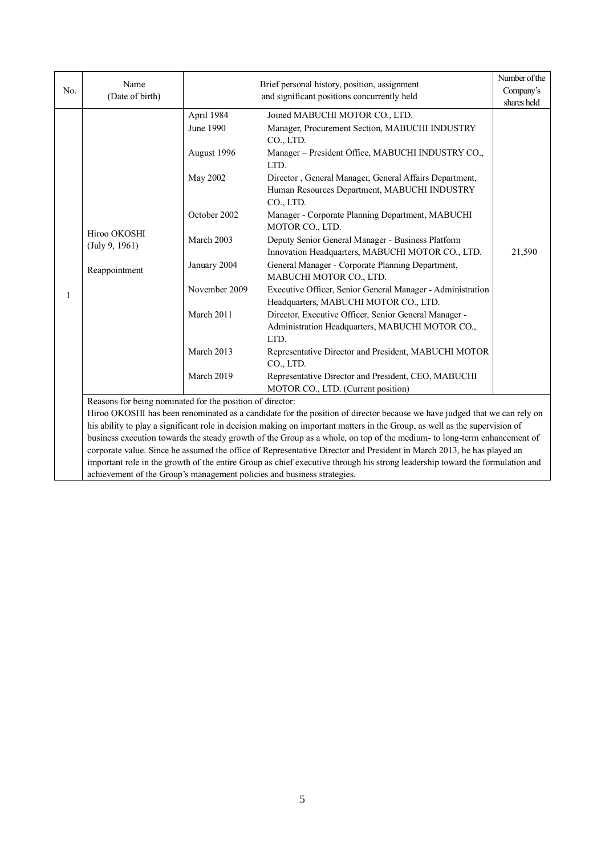| No. | Name<br>(Date of birth)                                                                                                                                                                                                                                                                                                                                   |                                                                                                                                                             | Number of the<br>Company's                                                                                                                                                                                                                                                                                                                                                                                                                                                                                                                                                                                                                                                                                                                                                                                                                                                                                                                             |                       |  |  |
|-----|-----------------------------------------------------------------------------------------------------------------------------------------------------------------------------------------------------------------------------------------------------------------------------------------------------------------------------------------------------------|-------------------------------------------------------------------------------------------------------------------------------------------------------------|--------------------------------------------------------------------------------------------------------------------------------------------------------------------------------------------------------------------------------------------------------------------------------------------------------------------------------------------------------------------------------------------------------------------------------------------------------------------------------------------------------------------------------------------------------------------------------------------------------------------------------------------------------------------------------------------------------------------------------------------------------------------------------------------------------------------------------------------------------------------------------------------------------------------------------------------------------|-----------------------|--|--|
| 1   | Hiroo OKOSHI<br>(July 9, 1961)<br>Reappointment                                                                                                                                                                                                                                                                                                           | April 1984<br>June 1990<br>August 1996<br>May 2002<br>October 2002<br>March 2003<br>January 2004<br>November 2009<br>March 2011<br>March 2013<br>March 2019 | and significant positions concurrently held<br>Joined MABUCHI MOTOR CO., LTD.<br>Manager, Procurement Section, MABUCHI INDUSTRY<br>CO., LTD.<br>Manager - President Office, MABUCHI INDUSTRY CO.,<br>LTD.<br>Director, General Manager, General Affairs Department,<br>Human Resources Department, MABUCHI INDUSTRY<br>CO., LTD.<br>Manager - Corporate Planning Department, MABUCHI<br>MOTOR CO., LTD.<br>Deputy Senior General Manager - Business Platform<br>Innovation Headquarters, MABUCHI MOTOR CO., LTD.<br>General Manager - Corporate Planning Department,<br>MABUCHI MOTOR CO., LTD.<br>Executive Officer, Senior General Manager - Administration<br>Headquarters, MABUCHI MOTOR CO., LTD.<br>Director, Executive Officer, Senior General Manager -<br>Administration Headquarters, MABUCHI MOTOR CO.,<br>LTD.<br>Representative Director and President, MABUCHI MOTOR<br>CO., LTD.<br>Representative Director and President, CEO, MABUCHI | shares held<br>21,590 |  |  |
|     | MOTOR CO., LTD. (Current position)<br>Reasons for being nominated for the position of director:<br>Hiroo OKOSHI has been renominated as a candidate for the position of director because we have judged that we can rely on<br>his ability to play a significant role in decision making on important matters in the Group, as well as the supervision of |                                                                                                                                                             |                                                                                                                                                                                                                                                                                                                                                                                                                                                                                                                                                                                                                                                                                                                                                                                                                                                                                                                                                        |                       |  |  |

business execution towards the steady growth of the Group as a whole, on top of the medium- to long-term enhancement of corporate value. Since he assumed the office of Representative Director and President in March 2013, he has played an important role in the growth of the entire Group as chief executive through his strong leadership toward the formulation and achievement of the Group's management policies and business strategies.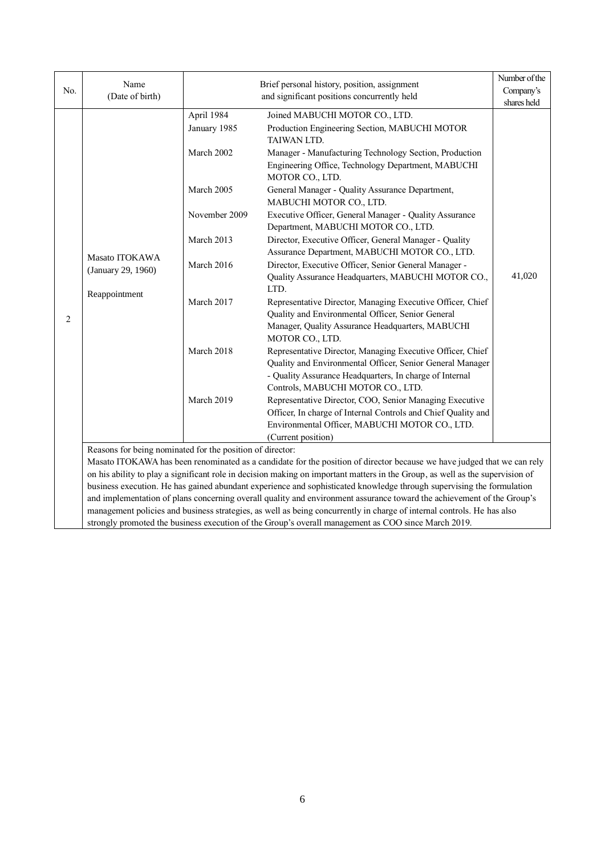|     | Name<br>Brief personal history, position, assignment                                                |               | Number of the                                                                                                                   |             |  |  |  |
|-----|-----------------------------------------------------------------------------------------------------|---------------|---------------------------------------------------------------------------------------------------------------------------------|-------------|--|--|--|
| No. | (Date of birth)                                                                                     |               | Company's                                                                                                                       |             |  |  |  |
|     |                                                                                                     |               | and significant positions concurrently held                                                                                     | shares held |  |  |  |
|     |                                                                                                     | April 1984    | Joined MABUCHI MOTOR CO., LTD.                                                                                                  |             |  |  |  |
|     |                                                                                                     | January 1985  | Production Engineering Section, MABUCHI MOTOR<br>TAIWAN LTD.                                                                    |             |  |  |  |
|     |                                                                                                     | March 2002    | Manager - Manufacturing Technology Section, Production<br>Engineering Office, Technology Department, MABUCHI<br>MOTOR CO., LTD. |             |  |  |  |
|     |                                                                                                     | March 2005    | General Manager - Quality Assurance Department,<br>MABUCHI MOTOR CO., LTD.                                                      |             |  |  |  |
|     |                                                                                                     | November 2009 | Executive Officer, General Manager - Quality Assurance<br>Department, MABUCHI MOTOR CO., LTD.                                   |             |  |  |  |
|     | Masato ITOKAWA                                                                                      | March 2013    | Director, Executive Officer, General Manager - Quality<br>Assurance Department, MABUCHI MOTOR CO., LTD.                         |             |  |  |  |
|     | (January 29, 1960)                                                                                  | March 2016    | Director, Executive Officer, Senior General Manager -                                                                           |             |  |  |  |
|     | Reappointment                                                                                       |               | Quality Assurance Headquarters, MABUCHI MOTOR CO.,<br>LTD.                                                                      | 41,020      |  |  |  |
|     |                                                                                                     | March 2017    | Representative Director, Managing Executive Officer, Chief                                                                      |             |  |  |  |
| 2   |                                                                                                     |               | Quality and Environmental Officer, Senior General                                                                               |             |  |  |  |
|     |                                                                                                     |               | Manager, Quality Assurance Headquarters, MABUCHI<br>MOTOR CO., LTD.                                                             |             |  |  |  |
|     |                                                                                                     | March 2018    | Representative Director, Managing Executive Officer, Chief                                                                      |             |  |  |  |
|     |                                                                                                     |               | Quality and Environmental Officer, Senior General Manager                                                                       |             |  |  |  |
|     |                                                                                                     |               | - Quality Assurance Headquarters, In charge of Internal                                                                         |             |  |  |  |
|     |                                                                                                     |               | Controls, MABUCHI MOTOR CO., LTD.                                                                                               |             |  |  |  |
|     |                                                                                                     | March 2019    | Representative Director, COO, Senior Managing Executive                                                                         |             |  |  |  |
|     |                                                                                                     |               | Officer, In charge of Internal Controls and Chief Quality and                                                                   |             |  |  |  |
|     |                                                                                                     |               | Environmental Officer, MABUCHI MOTOR CO., LTD.                                                                                  |             |  |  |  |
|     |                                                                                                     |               | (Current position)                                                                                                              |             |  |  |  |
|     | Reasons for being nominated for the position of director:                                           |               |                                                                                                                                 |             |  |  |  |
|     |                                                                                                     |               | Masato ITOKAWA has been renominated as a candidate for the position of director because we have judged that we can rely         |             |  |  |  |
|     |                                                                                                     |               | on his ability to play a significant role in decision making on important matters in the Group, as well as the supervision of   |             |  |  |  |
|     |                                                                                                     |               | business execution. He has gained abundant experience and sophisticated knowledge through supervising the formulation           |             |  |  |  |
|     |                                                                                                     |               | and implementation of plans concerning overall quality and environment assurance toward the achievement of the Group's          |             |  |  |  |
|     |                                                                                                     |               | management policies and business strategies, as well as being concurrently in charge of internal controls. He has also          |             |  |  |  |
|     | strongly promoted the business execution of the Group's overall management as COO since March 2019. |               |                                                                                                                                 |             |  |  |  |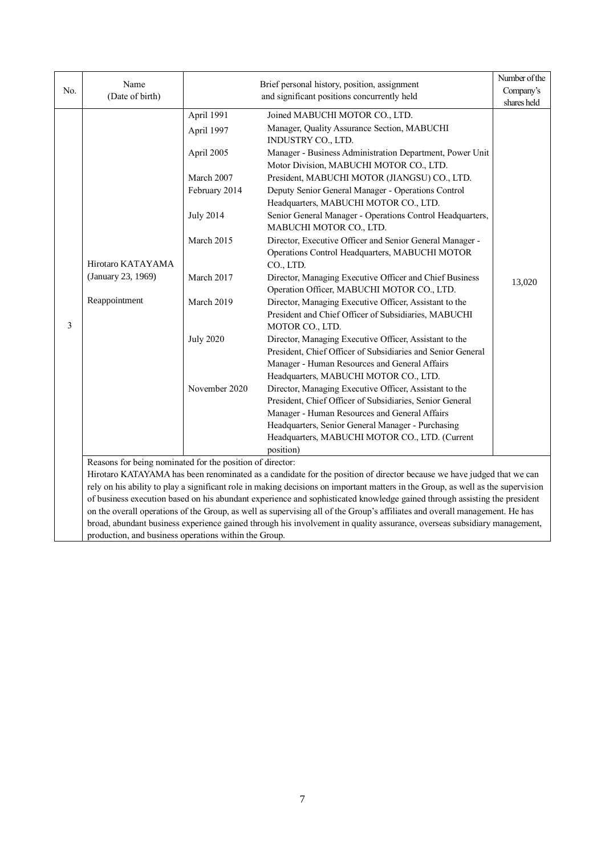| No. | Name                                                      | Brief personal history, position, assignment |                                                                                                                                                                                                                                                                                         | Number of the<br>Company's |  |  |  |
|-----|-----------------------------------------------------------|----------------------------------------------|-----------------------------------------------------------------------------------------------------------------------------------------------------------------------------------------------------------------------------------------------------------------------------------------|----------------------------|--|--|--|
|     | (Date of birth)                                           |                                              | and significant positions concurrently held                                                                                                                                                                                                                                             | shares held                |  |  |  |
|     |                                                           | April 1991                                   | Joined MABUCHI MOTOR CO., LTD.                                                                                                                                                                                                                                                          |                            |  |  |  |
|     |                                                           | April 1997                                   | Manager, Quality Assurance Section, MABUCHI<br>INDUSTRY CO., LTD.                                                                                                                                                                                                                       |                            |  |  |  |
|     |                                                           | April 2005                                   | Manager - Business Administration Department, Power Unit<br>Motor Division, MABUCHI MOTOR CO., LTD.                                                                                                                                                                                     |                            |  |  |  |
|     |                                                           | March 2007                                   | President, MABUCHI MOTOR (JIANGSU) CO., LTD.                                                                                                                                                                                                                                            |                            |  |  |  |
|     |                                                           | February 2014                                | Deputy Senior General Manager - Operations Control<br>Headquarters, MABUCHI MOTOR CO., LTD.                                                                                                                                                                                             |                            |  |  |  |
|     |                                                           | <b>July 2014</b>                             | Senior General Manager - Operations Control Headquarters,<br>MABUCHI MOTOR CO., LTD.                                                                                                                                                                                                    |                            |  |  |  |
|     | Hirotaro KATAYAMA<br>(January 23, 1969)<br>Reappointment  | March 2015                                   | Director, Executive Officer and Senior General Manager -<br>Operations Control Headquarters, MABUCHI MOTOR<br>CO., LTD.                                                                                                                                                                 |                            |  |  |  |
| 3   |                                                           | March 2017                                   | Director, Managing Executive Officer and Chief Business<br>Operation Officer, MABUCHI MOTOR CO., LTD.                                                                                                                                                                                   | 13,020                     |  |  |  |
|     |                                                           | March 2019                                   | Director, Managing Executive Officer, Assistant to the<br>President and Chief Officer of Subsidiaries, MABUCHI<br>MOTOR CO., LTD.                                                                                                                                                       |                            |  |  |  |
|     |                                                           | <b>July 2020</b>                             | Director, Managing Executive Officer, Assistant to the<br>President, Chief Officer of Subsidiaries and Senior General<br>Manager - Human Resources and General Affairs<br>Headquarters, MABUCHI MOTOR CO., LTD.                                                                         |                            |  |  |  |
|     |                                                           | November 2020                                | Director, Managing Executive Officer, Assistant to the<br>President, Chief Officer of Subsidiaries, Senior General<br>Manager - Human Resources and General Affairs<br>Headquarters, Senior General Manager - Purchasing<br>Headquarters, MABUCHI MOTOR CO., LTD. (Current<br>position) |                            |  |  |  |
|     | Reasons for being nominated for the position of director: |                                              |                                                                                                                                                                                                                                                                                         |                            |  |  |  |
|     |                                                           |                                              | Hirotaro KATAYAMA has been renominated as a candidate for the position of director because we have judged that we can                                                                                                                                                                   |                            |  |  |  |
|     |                                                           |                                              | rely on his ability to play a significant role in making decisions on important matters in the Group, as well as the supervision                                                                                                                                                        |                            |  |  |  |
|     |                                                           |                                              | of business execution based on his abundant experience and sophisticated knowledge gained through assisting the president                                                                                                                                                               |                            |  |  |  |
|     |                                                           |                                              | on the overall operations of the Group, as well as supervising all of the Group's affiliates and overall management. He has                                                                                                                                                             |                            |  |  |  |
|     |                                                           |                                              | broad, abundant business experience gained through his involvement in quality assurance, overseas subsidiary management,                                                                                                                                                                |                            |  |  |  |
|     | production, and business operations within the Group.     |                                              |                                                                                                                                                                                                                                                                                         |                            |  |  |  |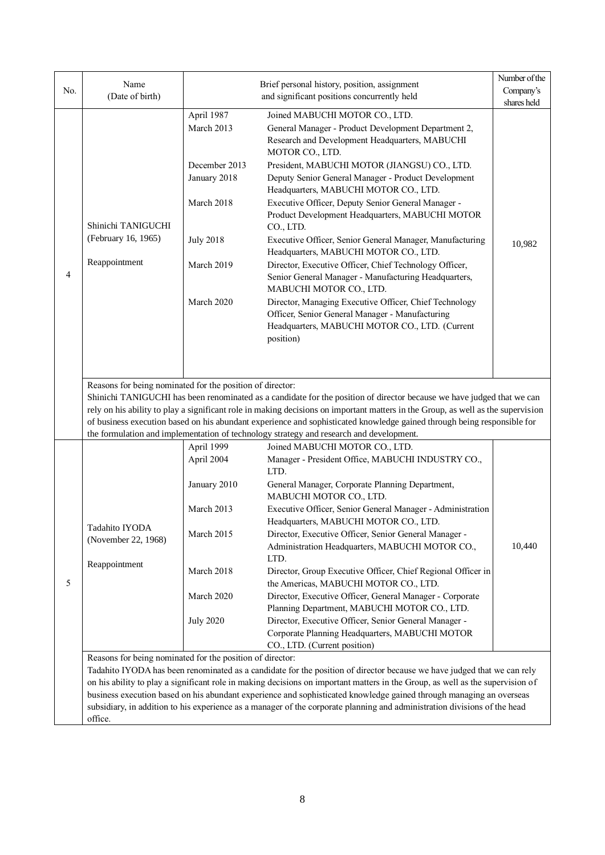| No. | Name                                                                                                                                                                                                                                                                                                                                                                                                                                                                                                                                                                                                                                                            | Brief personal history, position, assignment                                                                            |                                                                                                                                                                                                                                                                                                                                                                                                                                                                                                                                                                                                                                                                                                                                                                      | Number of the<br>Company's |  |  |
|-----|-----------------------------------------------------------------------------------------------------------------------------------------------------------------------------------------------------------------------------------------------------------------------------------------------------------------------------------------------------------------------------------------------------------------------------------------------------------------------------------------------------------------------------------------------------------------------------------------------------------------------------------------------------------------|-------------------------------------------------------------------------------------------------------------------------|----------------------------------------------------------------------------------------------------------------------------------------------------------------------------------------------------------------------------------------------------------------------------------------------------------------------------------------------------------------------------------------------------------------------------------------------------------------------------------------------------------------------------------------------------------------------------------------------------------------------------------------------------------------------------------------------------------------------------------------------------------------------|----------------------------|--|--|
|     | (Date of birth)                                                                                                                                                                                                                                                                                                                                                                                                                                                                                                                                                                                                                                                 |                                                                                                                         | and significant positions concurrently held                                                                                                                                                                                                                                                                                                                                                                                                                                                                                                                                                                                                                                                                                                                          |                            |  |  |
| 4   | Shinichi TANIGUCHI<br>(February 16, 1965)<br>Reappointment                                                                                                                                                                                                                                                                                                                                                                                                                                                                                                                                                                                                      | April 1987<br>March 2013<br>December 2013<br>January 2018<br>March 2018<br><b>July 2018</b><br>March 2019<br>March 2020 | Joined MABUCHI MOTOR CO., LTD.<br>General Manager - Product Development Department 2,<br>Research and Development Headquarters, MABUCHI<br>MOTOR CO., LTD.<br>President, MABUCHI MOTOR (JIANGSU) CO., LTD.<br>Deputy Senior General Manager - Product Development<br>Headquarters, MABUCHI MOTOR CO., LTD.<br>Executive Officer, Deputy Senior General Manager -<br>Product Development Headquarters, MABUCHI MOTOR<br>CO., LTD.<br>Executive Officer, Senior General Manager, Manufacturing<br>Headquarters, MABUCHI MOTOR CO., LTD.<br>Director, Executive Officer, Chief Technology Officer,<br>Senior General Manager - Manufacturing Headquarters,<br>MABUCHI MOTOR CO., LTD.<br>Director, Managing Executive Officer, Chief Technology                         | 10,982                     |  |  |
|     | Officer, Senior General Manager - Manufacturing<br>Headquarters, MABUCHI MOTOR CO., LTD. (Current<br>position)<br>Reasons for being nominated for the position of director:<br>Shinichi TANIGUCHI has been renominated as a candidate for the position of director because we have judged that we can<br>rely on his ability to play a significant role in making decisions on important matters in the Group, as well as the supervision<br>of business execution based on his abundant experience and sophisticated knowledge gained through being responsible for<br>the formulation and implementation of technology strategy and research and development. |                                                                                                                         |                                                                                                                                                                                                                                                                                                                                                                                                                                                                                                                                                                                                                                                                                                                                                                      |                            |  |  |
| 5   | Tadahito IYODA<br>(November 22, 1968)<br>Reappointment<br>Reasons for being nominated for the position of director:                                                                                                                                                                                                                                                                                                                                                                                                                                                                                                                                             | April 1999<br>April 2004<br>January 2010<br>March 2013<br>March 2015<br>March 2018<br>March 2020<br><b>July 2020</b>    | Joined MABUCHI MOTOR CO., LTD.<br>Manager - President Office, MABUCHI INDUSTRY CO.,<br>LTD.<br>General Manager, Corporate Planning Department,<br>MABUCHI MOTOR CO., LTD.<br>Executive Officer, Senior General Manager - Administration<br>Headquarters, MABUCHI MOTOR CO., LTD.<br>Director, Executive Officer, Senior General Manager -<br>Administration Headquarters, MABUCHI MOTOR CO.,<br>LTD.<br>Director, Group Executive Officer, Chief Regional Officer in<br>the Americas, MABUCHI MOTOR CO., LTD.<br>Director, Executive Officer, General Manager - Corporate<br>Planning Department, MABUCHI MOTOR CO., LTD.<br>Director, Executive Officer, Senior General Manager -<br>Corporate Planning Headquarters, MABUCHI MOTOR<br>CO., LTD. (Current position) | 10,440                     |  |  |
|     | office.                                                                                                                                                                                                                                                                                                                                                                                                                                                                                                                                                                                                                                                         |                                                                                                                         | Tadahito IYODA has been renominated as a candidate for the position of director because we have judged that we can rely<br>on his ability to play a significant role in making decisions on important matters in the Group, as well as the supervision of<br>business execution based on his abundant experience and sophisticated knowledge gained through managing an overseas<br>subsidiary, in addition to his experience as a manager of the corporate planning and administration divisions of the head                                                                                                                                                                                                                                                        |                            |  |  |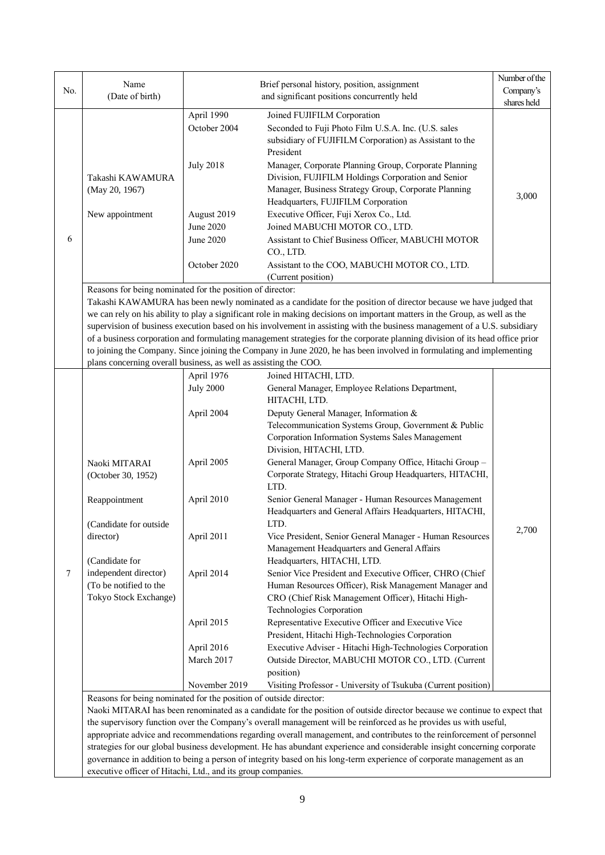| No. | Name                                                                                                                                                                                                                                                                                                                                                                                                                                                                                                                                                                                                                                                                                                                                                                   | Number of the<br>Brief personal history, position, assignment                                                                                                   |                                                                                                                                                                                                                                                                                                                                                                                                                                                                                                                                                                                                                                                                                                                                                                                                                                                                                                                                                                                                                                                                                                                                                                                                                                                                                                                                                                                                                                                      |                      |  |  |
|-----|------------------------------------------------------------------------------------------------------------------------------------------------------------------------------------------------------------------------------------------------------------------------------------------------------------------------------------------------------------------------------------------------------------------------------------------------------------------------------------------------------------------------------------------------------------------------------------------------------------------------------------------------------------------------------------------------------------------------------------------------------------------------|-----------------------------------------------------------------------------------------------------------------------------------------------------------------|------------------------------------------------------------------------------------------------------------------------------------------------------------------------------------------------------------------------------------------------------------------------------------------------------------------------------------------------------------------------------------------------------------------------------------------------------------------------------------------------------------------------------------------------------------------------------------------------------------------------------------------------------------------------------------------------------------------------------------------------------------------------------------------------------------------------------------------------------------------------------------------------------------------------------------------------------------------------------------------------------------------------------------------------------------------------------------------------------------------------------------------------------------------------------------------------------------------------------------------------------------------------------------------------------------------------------------------------------------------------------------------------------------------------------------------------------|----------------------|--|--|
|     | (Date of birth)                                                                                                                                                                                                                                                                                                                                                                                                                                                                                                                                                                                                                                                                                                                                                        |                                                                                                                                                                 | and significant positions concurrently held                                                                                                                                                                                                                                                                                                                                                                                                                                                                                                                                                                                                                                                                                                                                                                                                                                                                                                                                                                                                                                                                                                                                                                                                                                                                                                                                                                                                          |                      |  |  |
| 6   | Takashi KAWAMURA<br>(May 20, 1967)<br>New appointment                                                                                                                                                                                                                                                                                                                                                                                                                                                                                                                                                                                                                                                                                                                  | April 1990<br>October 2004<br><b>July 2018</b><br>August 2019<br>June 2020<br>June 2020<br>October 2020                                                         | Joined FUJIFILM Corporation<br>Seconded to Fuji Photo Film U.S.A. Inc. (U.S. sales<br>subsidiary of FUJIFILM Corporation) as Assistant to the<br>President<br>Manager, Corporate Planning Group, Corporate Planning<br>Division, FUJIFILM Holdings Corporation and Senior<br>Manager, Business Strategy Group, Corporate Planning<br>Headquarters, FUJIFILM Corporation<br>Executive Officer, Fuji Xerox Co., Ltd.<br>Joined MABUCHI MOTOR CO., LTD.<br>Assistant to Chief Business Officer, MABUCHI MOTOR<br>CO., LTD.<br>Assistant to the COO, MABUCHI MOTOR CO., LTD.                                                                                                                                                                                                                                                                                                                                                                                                                                                                                                                                                                                                                                                                                                                                                                                                                                                                             | shares held<br>3,000 |  |  |
|     |                                                                                                                                                                                                                                                                                                                                                                                                                                                                                                                                                                                                                                                                                                                                                                        |                                                                                                                                                                 | (Current position)                                                                                                                                                                                                                                                                                                                                                                                                                                                                                                                                                                                                                                                                                                                                                                                                                                                                                                                                                                                                                                                                                                                                                                                                                                                                                                                                                                                                                                   |                      |  |  |
|     | Reasons for being nominated for the position of director:<br>Takashi KAWAMURA has been newly nominated as a candidate for the position of director because we have judged that<br>we can rely on his ability to play a significant role in making decisions on important matters in the Group, as well as the<br>supervision of business execution based on his involvement in assisting with the business management of a U.S. subsidiary<br>of a business corporation and formulating management strategies for the corporate planning division of its head office prior<br>to joining the Company. Since joining the Company in June 2020, he has been involved in formulating and implementing<br>plans concerning overall business, as well as assisting the COO. |                                                                                                                                                                 |                                                                                                                                                                                                                                                                                                                                                                                                                                                                                                                                                                                                                                                                                                                                                                                                                                                                                                                                                                                                                                                                                                                                                                                                                                                                                                                                                                                                                                                      |                      |  |  |
| 7   | Naoki MITARAI<br>(October 30, 1952)<br>Reappointment<br>(Candidate for outside<br>director)<br>(Candidate for<br>independent director)<br>(To be notified to the<br>Tokyo Stock Exchange)<br>Reasons for being nominated for the position of outside director:                                                                                                                                                                                                                                                                                                                                                                                                                                                                                                         | April 1976<br><b>July 2000</b><br>April 2004<br>April 2005<br>April 2010<br>April 2011<br>April 2014<br>April 2015<br>April 2016<br>March 2017<br>November 2019 | Joined HITACHI, LTD.<br>General Manager, Employee Relations Department,<br>HITACHI, LTD.<br>Deputy General Manager, Information &<br>Telecommunication Systems Group, Government & Public<br>Corporation Information Systems Sales Management<br>Division, HITACHI, LTD.<br>General Manager, Group Company Office, Hitachi Group -<br>Corporate Strategy, Hitachi Group Headquarters, HITACHI,<br>LTD.<br>Senior General Manager - Human Resources Management<br>Headquarters and General Affairs Headquarters, HITACHI,<br><b>TTD</b><br>Vice President, Senior General Manager - Human Resources<br>Management Headquarters and General Affairs<br>Headquarters, HITACHI, LTD.<br>Senior Vice President and Executive Officer, CHRO (Chief<br>Human Resources Officer), Risk Management Manager and<br>CRO (Chief Risk Management Officer), Hitachi High-<br>Technologies Corporation<br>Representative Executive Officer and Executive Vice<br>President, Hitachi High-Technologies Corporation<br>Executive Adviser - Hitachi High-Technologies Corporation<br>Outside Director, MABUCHI MOTOR CO., LTD. (Current<br>position)<br>Visiting Professor - University of Tsukuba (Current position)<br>Naoki MITARAI has been renominated as a candidate for the position of outside director because we continue to expect that<br>the supervisory function over the Company's overall management will be reinforced as he provides us with useful, | 2,700                |  |  |
|     | executive officer of Hitachi, Ltd., and its group companies.                                                                                                                                                                                                                                                                                                                                                                                                                                                                                                                                                                                                                                                                                                           |                                                                                                                                                                 | appropriate advice and recommendations regarding overall management, and contributes to the reinforcement of personnel<br>strategies for our global business development. He has abundant experience and considerable insight concerning corporate<br>governance in addition to being a person of integrity based on his long-term experience of corporate management as an                                                                                                                                                                                                                                                                                                                                                                                                                                                                                                                                                                                                                                                                                                                                                                                                                                                                                                                                                                                                                                                                          |                      |  |  |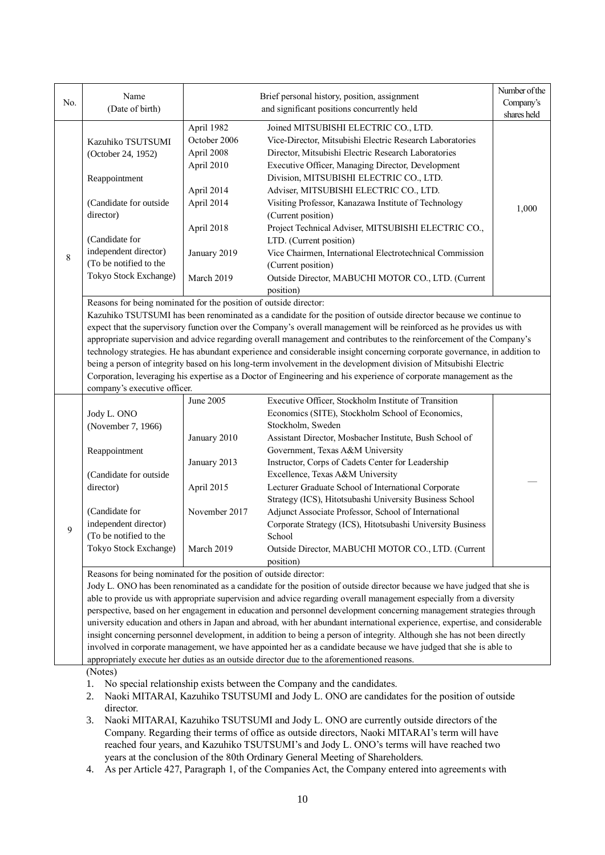|                                                                                                                    | Name                                                                                                                 |                                                                                | Brief personal history, position, assignment                                                                                                                                                                                                   | Number of the                                                                                                                |  |  |  |  |  |  |
|--------------------------------------------------------------------------------------------------------------------|----------------------------------------------------------------------------------------------------------------------|--------------------------------------------------------------------------------|------------------------------------------------------------------------------------------------------------------------------------------------------------------------------------------------------------------------------------------------|------------------------------------------------------------------------------------------------------------------------------|--|--|--|--|--|--|
| No.                                                                                                                | (Date of birth)                                                                                                      |                                                                                | Company's                                                                                                                                                                                                                                      |                                                                                                                              |  |  |  |  |  |  |
|                                                                                                                    |                                                                                                                      |                                                                                | and significant positions concurrently held                                                                                                                                                                                                    | shares held                                                                                                                  |  |  |  |  |  |  |
|                                                                                                                    |                                                                                                                      | April 1982                                                                     | Joined MITSUBISHI ELECTRIC CO., LTD.                                                                                                                                                                                                           |                                                                                                                              |  |  |  |  |  |  |
|                                                                                                                    | Kazuhiko TSUTSUMI                                                                                                    | October 2006                                                                   | Vice-Director, Mitsubishi Electric Research Laboratories                                                                                                                                                                                       |                                                                                                                              |  |  |  |  |  |  |
|                                                                                                                    | (October 24, 1952)                                                                                                   | April 2008                                                                     | Director, Mitsubishi Electric Research Laboratories                                                                                                                                                                                            |                                                                                                                              |  |  |  |  |  |  |
|                                                                                                                    |                                                                                                                      | April 2010                                                                     | Executive Officer, Managing Director, Development                                                                                                                                                                                              |                                                                                                                              |  |  |  |  |  |  |
|                                                                                                                    | Reappointment                                                                                                        |                                                                                | Division, MITSUBISHI ELECTRIC CO., LTD.                                                                                                                                                                                                        |                                                                                                                              |  |  |  |  |  |  |
|                                                                                                                    |                                                                                                                      | April 2014                                                                     | Adviser, MITSUBISHI ELECTRIC CO., LTD.                                                                                                                                                                                                         |                                                                                                                              |  |  |  |  |  |  |
|                                                                                                                    | (Candidate for outside                                                                                               | April 2014                                                                     | Visiting Professor, Kanazawa Institute of Technology                                                                                                                                                                                           | 1,000                                                                                                                        |  |  |  |  |  |  |
|                                                                                                                    | director)                                                                                                            |                                                                                | (Current position)                                                                                                                                                                                                                             |                                                                                                                              |  |  |  |  |  |  |
|                                                                                                                    |                                                                                                                      | April 2018                                                                     | Project Technical Adviser, MITSUBISHI ELECTRIC CO.,                                                                                                                                                                                            |                                                                                                                              |  |  |  |  |  |  |
|                                                                                                                    | (Candidate for                                                                                                       |                                                                                | LTD. (Current position)                                                                                                                                                                                                                        |                                                                                                                              |  |  |  |  |  |  |
| $\,8\,$                                                                                                            | independent director)                                                                                                | January 2019                                                                   | Vice Chairmen, International Electrotechnical Commission                                                                                                                                                                                       |                                                                                                                              |  |  |  |  |  |  |
|                                                                                                                    | (To be notified to the                                                                                               |                                                                                | (Current position)                                                                                                                                                                                                                             |                                                                                                                              |  |  |  |  |  |  |
|                                                                                                                    | Tokyo Stock Exchange)                                                                                                | March 2019                                                                     | Outside Director, MABUCHI MOTOR CO., LTD. (Current                                                                                                                                                                                             |                                                                                                                              |  |  |  |  |  |  |
|                                                                                                                    |                                                                                                                      |                                                                                | position)                                                                                                                                                                                                                                      |                                                                                                                              |  |  |  |  |  |  |
|                                                                                                                    | Reasons for being nominated for the position of outside director:                                                    |                                                                                |                                                                                                                                                                                                                                                |                                                                                                                              |  |  |  |  |  |  |
|                                                                                                                    |                                                                                                                      |                                                                                | Kazuhiko TSUTSUMI has been renominated as a candidate for the position of outside director because we continue to                                                                                                                              |                                                                                                                              |  |  |  |  |  |  |
|                                                                                                                    |                                                                                                                      |                                                                                | expect that the supervisory function over the Company's overall management will be reinforced as he provides us with                                                                                                                           |                                                                                                                              |  |  |  |  |  |  |
|                                                                                                                    |                                                                                                                      |                                                                                | appropriate supervision and advice regarding overall management and contributes to the reinforcement of the Company's                                                                                                                          |                                                                                                                              |  |  |  |  |  |  |
|                                                                                                                    |                                                                                                                      |                                                                                | technology strategies. He has abundant experience and considerable insight concerning corporate governance, in addition to                                                                                                                     |                                                                                                                              |  |  |  |  |  |  |
|                                                                                                                    |                                                                                                                      |                                                                                | being a person of integrity based on his long-term involvement in the development division of Mitsubishi Electric                                                                                                                              |                                                                                                                              |  |  |  |  |  |  |
| Corporation, leveraging his expertise as a Doctor of Engineering and his experience of corporate management as the |                                                                                                                      |                                                                                |                                                                                                                                                                                                                                                |                                                                                                                              |  |  |  |  |  |  |
|                                                                                                                    | company's executive officer.                                                                                         |                                                                                |                                                                                                                                                                                                                                                |                                                                                                                              |  |  |  |  |  |  |
|                                                                                                                    |                                                                                                                      | June 2005                                                                      | Executive Officer, Stockholm Institute of Transition                                                                                                                                                                                           |                                                                                                                              |  |  |  |  |  |  |
|                                                                                                                    | Jody L. ONO                                                                                                          |                                                                                | Economics (SITE), Stockholm School of Economics,                                                                                                                                                                                               |                                                                                                                              |  |  |  |  |  |  |
|                                                                                                                    | (November 7, 1966)                                                                                                   |                                                                                | Stockholm, Sweden                                                                                                                                                                                                                              |                                                                                                                              |  |  |  |  |  |  |
|                                                                                                                    |                                                                                                                      | January 2010                                                                   | Assistant Director, Mosbacher Institute, Bush School of                                                                                                                                                                                        |                                                                                                                              |  |  |  |  |  |  |
|                                                                                                                    | Reappointment                                                                                                        |                                                                                | Government, Texas A&M University                                                                                                                                                                                                               |                                                                                                                              |  |  |  |  |  |  |
|                                                                                                                    |                                                                                                                      | January 2013                                                                   | Instructor, Corps of Cadets Center for Leadership                                                                                                                                                                                              |                                                                                                                              |  |  |  |  |  |  |
|                                                                                                                    | (Candidate for outside                                                                                               |                                                                                | Excellence, Texas A&M University                                                                                                                                                                                                               |                                                                                                                              |  |  |  |  |  |  |
|                                                                                                                    | director)                                                                                                            | April 2015                                                                     | Lecturer Graduate School of International Corporate                                                                                                                                                                                            |                                                                                                                              |  |  |  |  |  |  |
|                                                                                                                    |                                                                                                                      |                                                                                | Strategy (ICS), Hitotsubashi University Business School                                                                                                                                                                                        |                                                                                                                              |  |  |  |  |  |  |
|                                                                                                                    | (Candidate for                                                                                                       | November 2017                                                                  | Adjunct Associate Professor, School of International                                                                                                                                                                                           |                                                                                                                              |  |  |  |  |  |  |
| 9                                                                                                                  | independent director)                                                                                                |                                                                                | Corporate Strategy (ICS), Hitotsubashi University Business                                                                                                                                                                                     |                                                                                                                              |  |  |  |  |  |  |
|                                                                                                                    | (To be notified to the                                                                                               |                                                                                | School                                                                                                                                                                                                                                         |                                                                                                                              |  |  |  |  |  |  |
|                                                                                                                    | Tokyo Stock Exchange)                                                                                                | March 2019                                                                     | Outside Director, MABUCHI MOTOR CO., LTD. (Current                                                                                                                                                                                             |                                                                                                                              |  |  |  |  |  |  |
|                                                                                                                    |                                                                                                                      | position)<br>Reasons for being nominated for the position of outside director: |                                                                                                                                                                                                                                                |                                                                                                                              |  |  |  |  |  |  |
|                                                                                                                    |                                                                                                                      |                                                                                |                                                                                                                                                                                                                                                |                                                                                                                              |  |  |  |  |  |  |
|                                                                                                                    |                                                                                                                      |                                                                                | Jody L. ONO has been renominated as a candidate for the position of outside director because we have judged that she is<br>able to provide us with appropriate supervision and advice regarding overall management especially from a diversity |                                                                                                                              |  |  |  |  |  |  |
|                                                                                                                    |                                                                                                                      |                                                                                |                                                                                                                                                                                                                                                |                                                                                                                              |  |  |  |  |  |  |
|                                                                                                                    | perspective, based on her engagement in education and personnel development concerning management strategies through |                                                                                |                                                                                                                                                                                                                                                |                                                                                                                              |  |  |  |  |  |  |
|                                                                                                                    |                                                                                                                      |                                                                                |                                                                                                                                                                                                                                                | university education and others in Japan and abroad, with her abundant international experience, expertise, and considerable |  |  |  |  |  |  |
|                                                                                                                    |                                                                                                                      |                                                                                |                                                                                                                                                                                                                                                |                                                                                                                              |  |  |  |  |  |  |
|                                                                                                                    |                                                                                                                      |                                                                                | insight concerning personnel development, in addition to being a person of integrity. Although she has not been directly                                                                                                                       |                                                                                                                              |  |  |  |  |  |  |
|                                                                                                                    |                                                                                                                      |                                                                                | involved in corporate management, we have appointed her as a candidate because we have judged that she is able to                                                                                                                              |                                                                                                                              |  |  |  |  |  |  |
|                                                                                                                    | (Notes)                                                                                                              |                                                                                | appropriately execute her duties as an outside director due to the aforementioned reasons.                                                                                                                                                     |                                                                                                                              |  |  |  |  |  |  |

2. Naoki MITARAI, Kazuhiko TSUTSUMI and Jody L. ONO are candidates for the position of outside director.

- 3. Naoki MITARAI, Kazuhiko TSUTSUMI and Jody L. ONO are currently outside directors of the Company. Regarding their terms of office as outside directors, Naoki MITARAI's term will have reached four years, and Kazuhiko TSUTSUMI's and Jody L. ONO's terms will have reached two years at the conclusion of the 80th Ordinary General Meeting of Shareholders.
- 4. As per Article 427, Paragraph 1, of the Companies Act, the Company entered into agreements with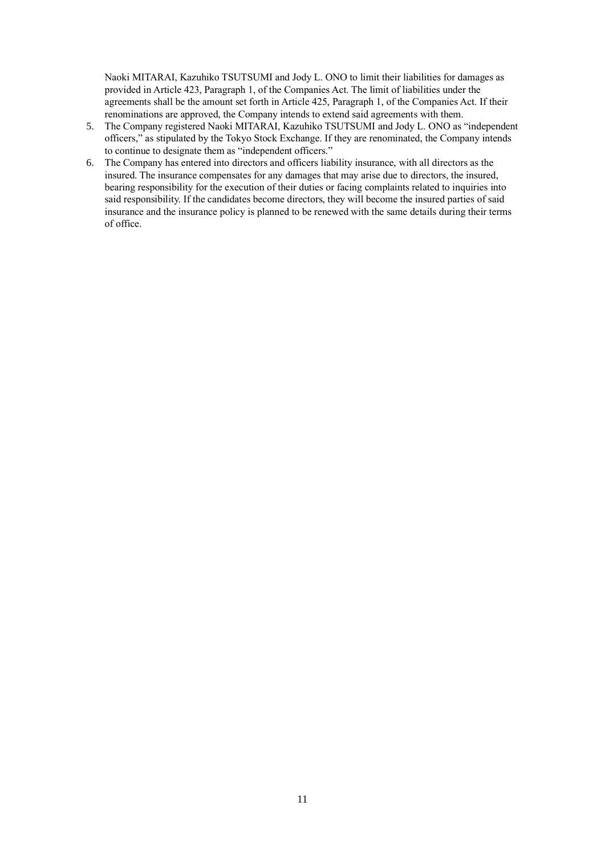Naoki MITARAI, Kazuhiko TSUTSUMI and Jody L. ONO to limit their liabilities for damages as provided in Article 423, Paragraph 1, of the Companies Act. The limit of liabilities under the agreements shall be the amount set forth in Article 425, Paragraph 1, of the Companies Act. If their renominations are approved, the Company intends to extend said agreements with them.

- 5. The Company registered Naoki MITARAI, Kazuhiko TSUTSUMI and Jody L. ONO as "independent officers," as stipulated by the Tokyo Stock Exchange. If they are renominated, the Company intends to continue to designate them as "independent officers."
- 6. The Company has entered into directors and officers liability insurance, with all directors as the insured. The insurance compensates for any damages that may arise due to directors, the insured, bearing responsibility for the execution of their duties or facing complaints related to inquiries into said responsibility. If the candidates become directors, they will become the insured parties of said insurance and the insurance policy is planned to be renewed with the same details during their terms of office.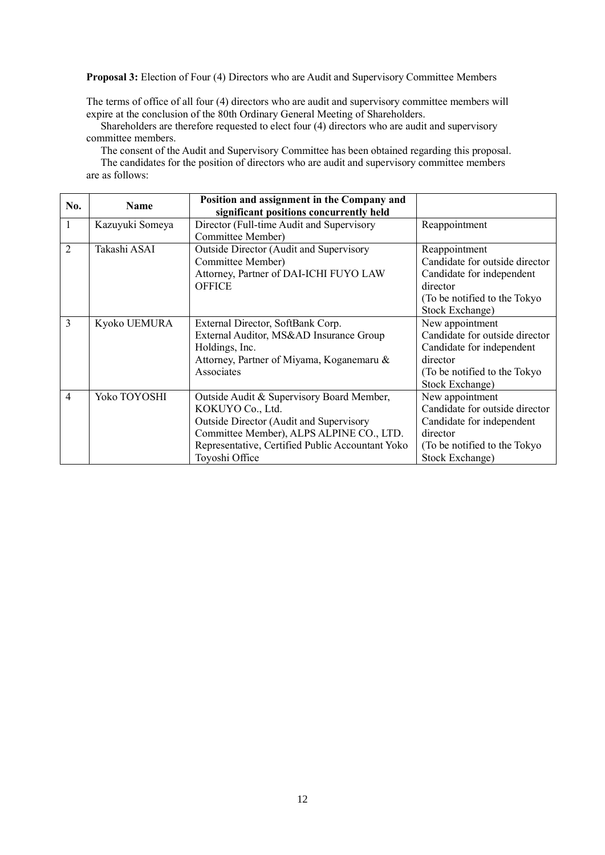**Proposal 3:** Election of Four (4) Directors who are Audit and Supervisory Committee Members

The terms of office of all four (4) directors who are audit and supervisory committee members will expire at the conclusion of the 80th Ordinary General Meeting of Shareholders.

Shareholders are therefore requested to elect four (4) directors who are audit and supervisory committee members.

The consent of the Audit and Supervisory Committee has been obtained regarding this proposal. The candidates for the position of directors who are audit and supervisory committee members are as follows:

| No.            | <b>Name</b>     | Position and assignment in the Company and<br>significant positions concurrently held                                                                                                                                             |                                                                                                                                                |
|----------------|-----------------|-----------------------------------------------------------------------------------------------------------------------------------------------------------------------------------------------------------------------------------|------------------------------------------------------------------------------------------------------------------------------------------------|
| $\mathbf{1}$   | Kazuyuki Someya | Director (Full-time Audit and Supervisory<br>Committee Member)                                                                                                                                                                    | Reappointment                                                                                                                                  |
| $\overline{2}$ | Takashi ASAI    | <b>Outside Director (Audit and Supervisory</b><br>Committee Member)<br>Attorney, Partner of DAI-ICHI FUYO LAW<br><b>OFFICE</b>                                                                                                    | Reappointment<br>Candidate for outside director<br>Candidate for independent<br>director<br>(To be notified to the Tokyo)<br>Stock Exchange)   |
| 3              | Kyoko UEMURA    | External Director, SoftBank Corp.<br>External Auditor, MS&AD Insurance Group<br>Holdings, Inc.<br>Attorney, Partner of Miyama, Koganemaru &<br>Associates                                                                         | New appointment<br>Candidate for outside director<br>Candidate for independent<br>director<br>(To be notified to the Tokyo)<br>Stock Exchange) |
| $\overline{4}$ | Yoko TOYOSHI    | Outside Audit & Supervisory Board Member,<br>KOKUYO Co., Ltd.<br><b>Outside Director (Audit and Supervisory</b><br>Committee Member), ALPS ALPINE CO., LTD.<br>Representative, Certified Public Accountant Yoko<br>Toyoshi Office | New appointment<br>Candidate for outside director<br>Candidate for independent<br>director<br>(To be notified to the Tokyo)<br>Stock Exchange) |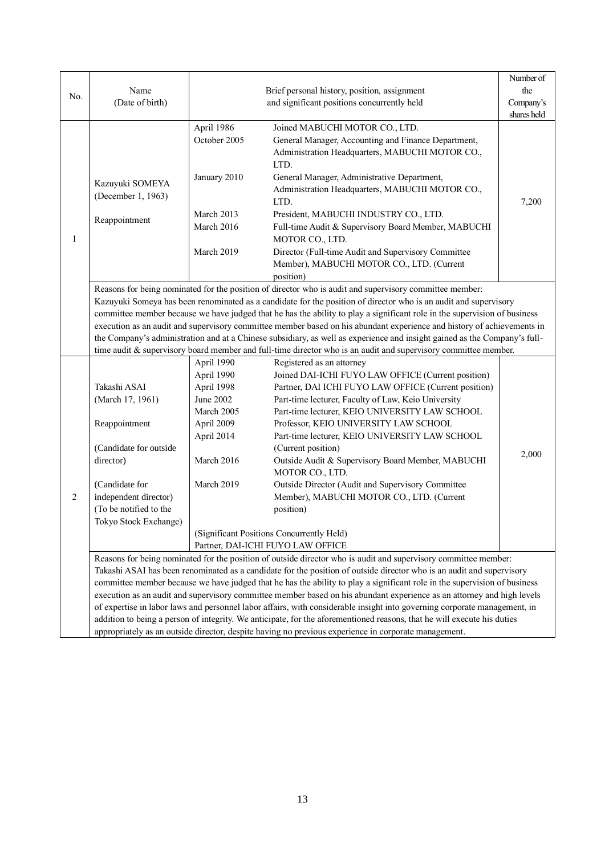|     |                        |              |                                                                                                                                                                                                                                                     | Number of   |  |  |  |  |
|-----|------------------------|--------------|-----------------------------------------------------------------------------------------------------------------------------------------------------------------------------------------------------------------------------------------------------|-------------|--|--|--|--|
| No. | Name                   |              | Brief personal history, position, assignment                                                                                                                                                                                                        | the         |  |  |  |  |
|     | (Date of birth)        |              | Company's                                                                                                                                                                                                                                           |             |  |  |  |  |
|     |                        |              |                                                                                                                                                                                                                                                     | shares held |  |  |  |  |
|     |                        | April 1986   | Joined MABUCHI MOTOR CO., LTD.                                                                                                                                                                                                                      |             |  |  |  |  |
|     |                        | October 2005 | General Manager, Accounting and Finance Department,                                                                                                                                                                                                 |             |  |  |  |  |
|     |                        |              | Administration Headquarters, MABUCHI MOTOR CO.,                                                                                                                                                                                                     |             |  |  |  |  |
|     |                        |              | LTD.                                                                                                                                                                                                                                                |             |  |  |  |  |
|     | Kazuyuki SOMEYA        | January 2010 | General Manager, Administrative Department,                                                                                                                                                                                                         |             |  |  |  |  |
|     | (December 1, 1963)     |              | Administration Headquarters, MABUCHI MOTOR CO.,                                                                                                                                                                                                     |             |  |  |  |  |
|     |                        |              | LTD.                                                                                                                                                                                                                                                | 7,200       |  |  |  |  |
|     | Reappointment          | March 2013   | President, MABUCHI INDUSTRY CO., LTD.                                                                                                                                                                                                               |             |  |  |  |  |
|     |                        | March 2016   | Full-time Audit & Supervisory Board Member, MABUCHI                                                                                                                                                                                                 |             |  |  |  |  |
| 1   |                        |              | MOTOR CO., LTD.                                                                                                                                                                                                                                     |             |  |  |  |  |
|     |                        | March 2019   | Director (Full-time Audit and Supervisory Committee                                                                                                                                                                                                 |             |  |  |  |  |
|     |                        |              | Member), MABUCHI MOTOR CO., LTD. (Current                                                                                                                                                                                                           |             |  |  |  |  |
|     |                        | position)    |                                                                                                                                                                                                                                                     |             |  |  |  |  |
|     |                        |              | Reasons for being nominated for the position of director who is audit and supervisory committee member:                                                                                                                                             |             |  |  |  |  |
|     |                        |              | Kazuyuki Someya has been renominated as a candidate for the position of director who is an audit and supervisory                                                                                                                                    |             |  |  |  |  |
|     |                        |              | committee member because we have judged that he has the ability to play a significant role in the supervision of business<br>execution as an audit and supervisory committee member based on his abundant experience and history of achievements in |             |  |  |  |  |
|     |                        |              |                                                                                                                                                                                                                                                     |             |  |  |  |  |
|     |                        |              | the Company's administration and at a Chinese subsidiary, as well as experience and insight gained as the Company's full-<br>time audit & supervisory board member and full-time director who is an audit and supervisory committee member.         |             |  |  |  |  |
|     |                        | April 1990   | Registered as an attorney                                                                                                                                                                                                                           |             |  |  |  |  |
|     |                        | April 1990   | Joined DAI-ICHI FUYO LAW OFFICE (Current position)                                                                                                                                                                                                  |             |  |  |  |  |
|     | Takashi ASAI           | April 1998   | Partner, DAI ICHI FUYO LAW OFFICE (Current position)                                                                                                                                                                                                |             |  |  |  |  |
|     | (March 17, 1961)       | June 2002    | Part-time lecturer, Faculty of Law, Keio University                                                                                                                                                                                                 |             |  |  |  |  |
|     |                        | March 2005   | Part-time lecturer, KEIO UNIVERSITY LAW SCHOOL                                                                                                                                                                                                      |             |  |  |  |  |
|     | Reappointment          | April 2009   | Professor, KEIO UNIVERSITY LAW SCHOOL                                                                                                                                                                                                               |             |  |  |  |  |
|     |                        | April 2014   | Part-time lecturer, KEIO UNIVERSITY LAW SCHOOL                                                                                                                                                                                                      |             |  |  |  |  |
|     | (Candidate for outside |              | (Current position)                                                                                                                                                                                                                                  |             |  |  |  |  |
|     | director)              | March 2016   | Outside Audit & Supervisory Board Member, MABUCHI                                                                                                                                                                                                   | 2,000       |  |  |  |  |
|     |                        |              | MOTOR CO., LTD.                                                                                                                                                                                                                                     |             |  |  |  |  |
|     | (Candidate for         | March 2019   | Outside Director (Audit and Supervisory Committee                                                                                                                                                                                                   |             |  |  |  |  |
| 2   | independent director)  |              | Member), MABUCHI MOTOR CO., LTD. (Current                                                                                                                                                                                                           |             |  |  |  |  |
|     | (To be notified to the |              | position)                                                                                                                                                                                                                                           |             |  |  |  |  |
|     | Tokyo Stock Exchange)  |              |                                                                                                                                                                                                                                                     |             |  |  |  |  |
|     |                        |              | (Significant Positions Concurrently Held)                                                                                                                                                                                                           |             |  |  |  |  |
|     |                        |              | Partner, DAI-ICHI FUYO LAW OFFICE                                                                                                                                                                                                                   |             |  |  |  |  |
|     |                        |              | Reasons for being nominated for the position of outside director who is audit and supervisory committee member:                                                                                                                                     |             |  |  |  |  |
|     |                        |              | Takashi ASAI has been renominated as a candidate for the position of outside director who is an audit and supervisory                                                                                                                               |             |  |  |  |  |
|     |                        |              | committee member because we have judged that he has the ability to play a significant role in the supervision of business                                                                                                                           |             |  |  |  |  |
|     |                        |              | execution as an audit and supervisory committee member based on his abundant experience as an attorney and high levels                                                                                                                              |             |  |  |  |  |
|     |                        |              | of expertise in labor laws and personnel labor affairs, with considerable insight into governing corporate management, in                                                                                                                           |             |  |  |  |  |
|     |                        |              | addition to being a person of integrity. We anticipate, for the aforementioned reasons, that he will execute his duties                                                                                                                             |             |  |  |  |  |
|     |                        |              | appropriately as an outside director, despite having no previous experience in corporate management.                                                                                                                                                |             |  |  |  |  |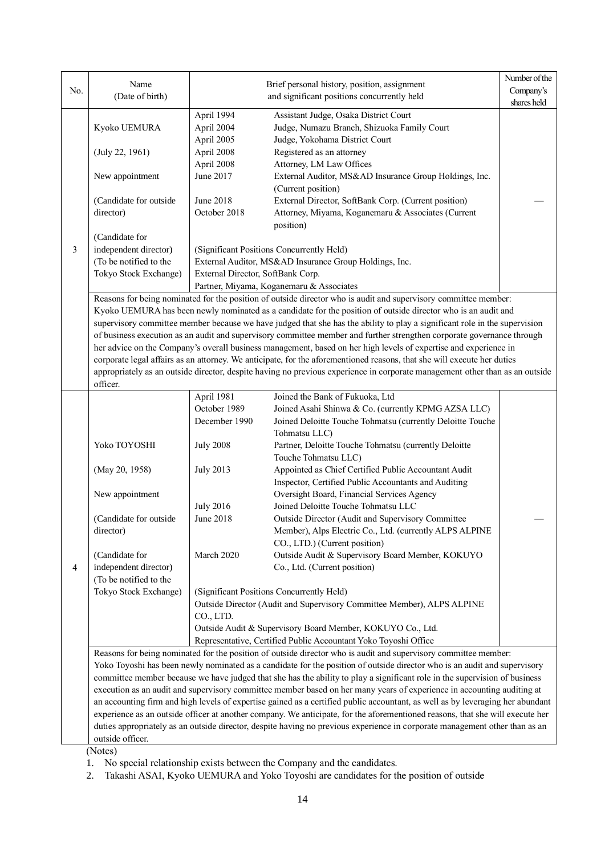|     |                                                                                                                              |                                   |                                                                                                                                | Number of the |  |  |  |
|-----|------------------------------------------------------------------------------------------------------------------------------|-----------------------------------|--------------------------------------------------------------------------------------------------------------------------------|---------------|--|--|--|
| No. | Name                                                                                                                         |                                   | Brief personal history, position, assignment                                                                                   | Company's     |  |  |  |
|     | (Date of birth)                                                                                                              |                                   | and significant positions concurrently held                                                                                    | shares held   |  |  |  |
|     |                                                                                                                              | April 1994                        | Assistant Judge, Osaka District Court                                                                                          |               |  |  |  |
|     | Kyoko UEMURA                                                                                                                 | April 2004                        | Judge, Numazu Branch, Shizuoka Family Court                                                                                    |               |  |  |  |
|     |                                                                                                                              | April 2005                        | Judge, Yokohama District Court                                                                                                 |               |  |  |  |
|     | (July 22, 1961)                                                                                                              | April 2008                        | Registered as an attorney                                                                                                      |               |  |  |  |
|     |                                                                                                                              | April 2008                        | Attorney, LM Law Offices                                                                                                       |               |  |  |  |
|     | New appointment                                                                                                              | June 2017                         | External Auditor, MS&AD Insurance Group Holdings, Inc.                                                                         |               |  |  |  |
|     |                                                                                                                              |                                   | (Current position)                                                                                                             |               |  |  |  |
|     | (Candidate for outside                                                                                                       | June 2018                         | External Director, SoftBank Corp. (Current position)                                                                           |               |  |  |  |
|     | director)                                                                                                                    | October 2018                      | Attorney, Miyama, Koganemaru & Associates (Current                                                                             |               |  |  |  |
|     |                                                                                                                              |                                   | position)                                                                                                                      |               |  |  |  |
|     | (Candidate for                                                                                                               |                                   |                                                                                                                                |               |  |  |  |
| 3   | independent director)                                                                                                        |                                   | (Significant Positions Concurrently Held)                                                                                      |               |  |  |  |
|     | (To be notified to the                                                                                                       |                                   | External Auditor, MS&AD Insurance Group Holdings, Inc.                                                                         |               |  |  |  |
|     | Tokyo Stock Exchange)                                                                                                        | External Director, SoftBank Corp. |                                                                                                                                |               |  |  |  |
|     |                                                                                                                              |                                   | Partner, Miyama, Koganemaru & Associates                                                                                       |               |  |  |  |
|     |                                                                                                                              |                                   | Reasons for being nominated for the position of outside director who is audit and supervisory committee member:                |               |  |  |  |
|     |                                                                                                                              |                                   | Kyoko UEMURA has been newly nominated as a candidate for the position of outside director who is an audit and                  |               |  |  |  |
|     |                                                                                                                              |                                   | supervisory committee member because we have judged that she has the ability to play a significant role in the supervision     |               |  |  |  |
|     |                                                                                                                              |                                   | of business execution as an audit and supervisory committee member and further strengthen corporate governance through         |               |  |  |  |
|     |                                                                                                                              |                                   | her advice on the Company's overall business management, based on her high levels of expertise and experience in               |               |  |  |  |
|     |                                                                                                                              |                                   | corporate legal affairs as an attorney. We anticipate, for the aforementioned reasons, that she will execute her duties        |               |  |  |  |
|     | appropriately as an outside director, despite having no previous experience in corporate management other than as an outside |                                   |                                                                                                                                |               |  |  |  |
|     | officer.                                                                                                                     |                                   |                                                                                                                                |               |  |  |  |
|     |                                                                                                                              | April 1981                        | Joined the Bank of Fukuoka, Ltd                                                                                                |               |  |  |  |
|     |                                                                                                                              | October 1989                      | Joined Asahi Shinwa & Co. (currently KPMG AZSA LLC)                                                                            |               |  |  |  |
|     |                                                                                                                              | December 1990                     | Joined Deloitte Touche Tohmatsu (currently Deloitte Touche                                                                     |               |  |  |  |
|     |                                                                                                                              |                                   | Tohmatsu LLC)                                                                                                                  |               |  |  |  |
|     | Yoko TOYOSHI                                                                                                                 | <b>July 2008</b>                  | Partner, Deloitte Touche Tohmatsu (currently Deloitte                                                                          |               |  |  |  |
|     |                                                                                                                              |                                   | Touche Tohmatsu LLC)                                                                                                           |               |  |  |  |
|     | (May 20, 1958)                                                                                                               | <b>July 2013</b>                  | Appointed as Chief Certified Public Accountant Audit                                                                           |               |  |  |  |
|     |                                                                                                                              |                                   | Inspector, Certified Public Accountants and Auditing                                                                           |               |  |  |  |
|     | New appointment                                                                                                              |                                   | Oversight Board, Financial Services Agency                                                                                     |               |  |  |  |
|     |                                                                                                                              | <b>July 2016</b>                  | Joined Deloitte Touche Tohmatsu LLC                                                                                            |               |  |  |  |
|     | (Candidate for outside                                                                                                       | June 2018                         | Outside Director (Audit and Supervisory Committee                                                                              |               |  |  |  |
|     | director)                                                                                                                    |                                   | Member), Alps Electric Co., Ltd. (currently ALPS ALPINE                                                                        |               |  |  |  |
|     |                                                                                                                              |                                   | CO., LTD.) (Current position)                                                                                                  |               |  |  |  |
|     | (Candidate for                                                                                                               | March 2020                        | Outside Audit & Supervisory Board Member, KOKUYO                                                                               |               |  |  |  |
| 4   | independent director)                                                                                                        |                                   | Co., Ltd. (Current position)                                                                                                   |               |  |  |  |
|     | (To be notified to the                                                                                                       |                                   |                                                                                                                                |               |  |  |  |
|     | Tokyo Stock Exchange)                                                                                                        |                                   | (Significant Positions Concurrently Held)                                                                                      |               |  |  |  |
|     |                                                                                                                              |                                   | Outside Director (Audit and Supervisory Committee Member), ALPS ALPINE                                                         |               |  |  |  |
|     |                                                                                                                              | CO., LTD.                         |                                                                                                                                |               |  |  |  |
|     |                                                                                                                              |                                   | Outside Audit & Supervisory Board Member, KOKUYO Co., Ltd.                                                                     |               |  |  |  |
|     |                                                                                                                              |                                   | Representative, Certified Public Accountant Yoko Toyoshi Office                                                                |               |  |  |  |
|     |                                                                                                                              |                                   | Reasons for being nominated for the position of outside director who is audit and supervisory committee member:                |               |  |  |  |
|     |                                                                                                                              |                                   | Yoko Toyoshi has been newly nominated as a candidate for the position of outside director who is an audit and supervisory      |               |  |  |  |
|     |                                                                                                                              |                                   | committee member because we have judged that she has the ability to play a significant role in the supervision of business     |               |  |  |  |
|     |                                                                                                                              |                                   | execution as an audit and supervisory committee member based on her many years of experience in accounting auditing at         |               |  |  |  |
|     |                                                                                                                              |                                   | an accounting firm and high levels of expertise gained as a certified public accountant, as well as by leveraging her abundant |               |  |  |  |
|     |                                                                                                                              |                                   | experience as an outside officer at another company. We anticipate, for the aforementioned reasons, that she will execute her  |               |  |  |  |
|     |                                                                                                                              |                                   | duties appropriately as an outside director, despite having no previous experience in corporate management other than as an    |               |  |  |  |
|     | outside officer.                                                                                                             |                                   |                                                                                                                                |               |  |  |  |
|     | (Notes)                                                                                                                      |                                   |                                                                                                                                |               |  |  |  |

1. No special relationship exists between the Company and the candidates.

2. Takashi ASAI, Kyoko UEMURA and Yoko Toyoshi are candidates for the position of outside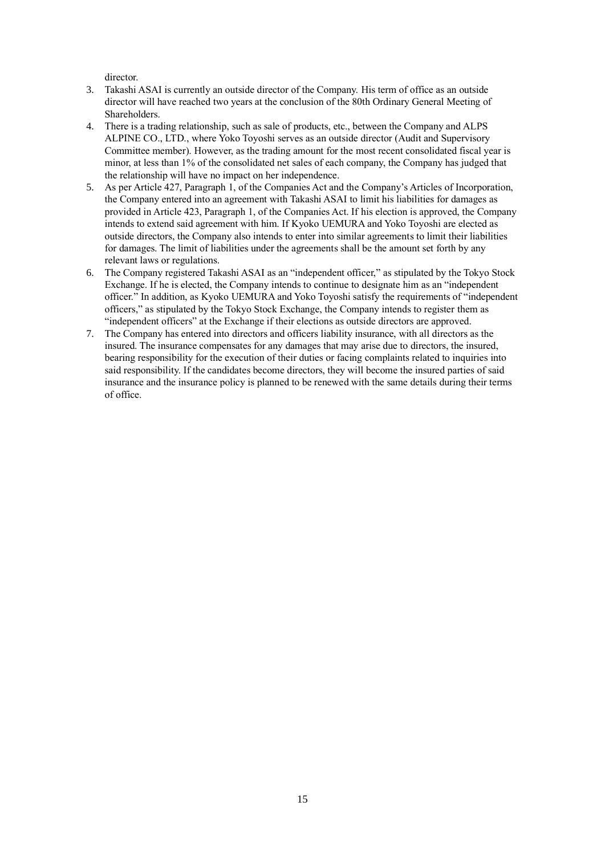director.

- 3. Takashi ASAI is currently an outside director of the Company. His term of office as an outside director will have reached two years at the conclusion of the 80th Ordinary General Meeting of **Shareholders**
- 4. There is a trading relationship, such as sale of products, etc., between the Company and ALPS ALPINE CO., LTD., where Yoko Toyoshi serves as an outside director (Audit and Supervisory Committee member). However, as the trading amount for the most recent consolidated fiscal year is minor, at less than 1% of the consolidated net sales of each company, the Company has judged that the relationship will have no impact on her independence.
- 5. As per Article 427, Paragraph 1, of the Companies Act and the Company's Articles of Incorporation, the Company entered into an agreement with Takashi ASAI to limit his liabilities for damages as provided in Article 423, Paragraph 1, of the Companies Act. If his election is approved, the Company intends to extend said agreement with him. If Kyoko UEMURA and Yoko Toyoshi are elected as outside directors, the Company also intends to enter into similar agreements to limit their liabilities for damages. The limit of liabilities under the agreements shall be the amount set forth by any relevant laws or regulations.
- 6. The Company registered Takashi ASAI as an "independent officer," as stipulated by the Tokyo Stock Exchange. If he is elected, the Company intends to continue to designate him as an "independent officer." In addition, as Kyoko UEMURA and Yoko Toyoshi satisfy the requirements of "independent officers," as stipulated by the Tokyo Stock Exchange, the Company intends to register them as "independent officers" at the Exchange if their elections as outside directors are approved.
- 7. The Company has entered into directors and officers liability insurance, with all directors as the insured. The insurance compensates for any damages that may arise due to directors, the insured, bearing responsibility for the execution of their duties or facing complaints related to inquiries into said responsibility. If the candidates become directors, they will become the insured parties of said insurance and the insurance policy is planned to be renewed with the same details during their terms of office.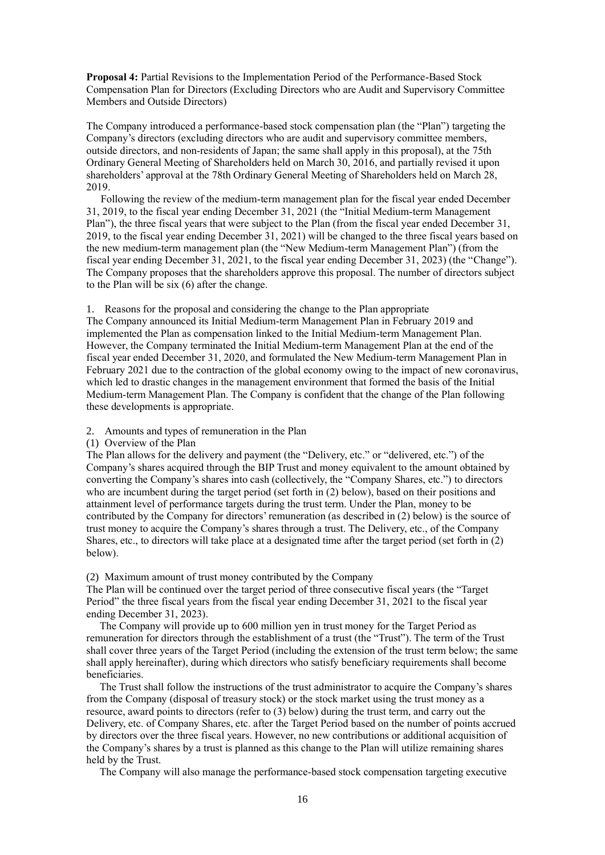**Proposal 4:** Partial Revisions to the Implementation Period of the Performance-Based Stock Compensation Plan for Directors (Excluding Directors who are Audit and Supervisory Committee Members and Outside Directors)

The Company introduced a performance-based stock compensation plan (the "Plan") targeting the Company's directors (excluding directors who are audit and supervisory committee members, outside directors, and non-residents of Japan; the same shall apply in this proposal), at the 75th Ordinary General Meeting of Shareholders held on March 30, 2016, and partially revised it upon shareholders' approval at the 78th Ordinary General Meeting of Shareholders held on March 28, 2019.

Following the review of the medium-term management plan for the fiscal year ended December 31, 2019, to the fiscal year ending December 31, 2021 (the "Initial Medium-term Management Plan"), the three fiscal years that were subject to the Plan (from the fiscal year ended December 31, 2019, to the fiscal year ending December 31, 2021) will be changed to the three fiscal years based on the new medium-term management plan (the "New Medium-term Management Plan") (from the fiscal year ending December 31, 2021, to the fiscal year ending December 31, 2023) (the "Change"). The Company proposes that the shareholders approve this proposal. The number of directors subject to the Plan will be six (6) after the change.

1. Reasons for the proposal and considering the change to the Plan appropriate

The Company announced its Initial Medium-term Management Plan in February 2019 and implemented the Plan as compensation linked to the Initial Medium-term Management Plan. However, the Company terminated the Initial Medium-term Management Plan at the end of the fiscal year ended December 31, 2020, and formulated the New Medium-term Management Plan in February 2021 due to the contraction of the global economy owing to the impact of new coronavirus, which led to drastic changes in the management environment that formed the basis of the Initial Medium-term Management Plan. The Company is confident that the change of the Plan following these developments is appropriate.

### 2. Amounts and types of remuneration in the Plan

#### (1) Overview of the Plan

The Plan allows for the delivery and payment (the "Delivery, etc." or "delivered, etc.") of the Company's shares acquired through the BIP Trust and money equivalent to the amount obtained by converting the Company's shares into cash (collectively, the "Company Shares, etc.") to directors who are incumbent during the target period (set forth in (2) below), based on their positions and attainment level of performance targets during the trust term. Under the Plan, money to be contributed by the Company for directors' remuneration (as described in (2) below) is the source of trust money to acquire the Company's shares through a trust. The Delivery, etc., of the Company Shares, etc., to directors will take place at a designated time after the target period (set forth in (2) below).

### (2) Maximum amount of trust money contributed by the Company

The Plan will be continued over the target period of three consecutive fiscal years (the "Target Period" the three fiscal years from the fiscal year ending December 31, 2021 to the fiscal year ending December 31, 2023).

The Company will provide up to 600 million yen in trust money for the Target Period as remuneration for directors through the establishment of a trust (the "Trust"). The term of the Trust shall cover three years of the Target Period (including the extension of the trust term below; the same shall apply hereinafter), during which directors who satisfy beneficiary requirements shall become beneficiaries.

The Trust shall follow the instructions of the trust administrator to acquire the Company's shares from the Company (disposal of treasury stock) or the stock market using the trust money as a resource, award points to directors (refer to (3) below) during the trust term, and carry out the Delivery, etc. of Company Shares, etc. after the Target Period based on the number of points accrued by directors over the three fiscal years. However, no new contributions or additional acquisition of the Company's shares by a trust is planned as this change to the Plan will utilize remaining shares held by the Trust.

The Company will also manage the performance-based stock compensation targeting executive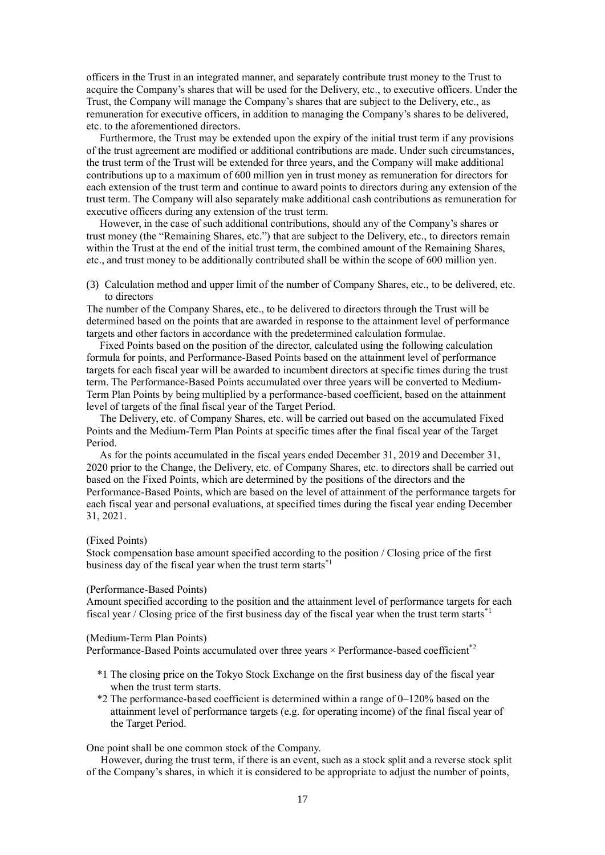officers in the Trust in an integrated manner, and separately contribute trust money to the Trust to acquire the Company's shares that will be used for the Delivery, etc., to executive officers. Under the Trust, the Company will manage the Company's shares that are subject to the Delivery, etc., as remuneration for executive officers, in addition to managing the Company's shares to be delivered, etc. to the aforementioned directors.

Furthermore, the Trust may be extended upon the expiry of the initial trust term if any provisions of the trust agreement are modified or additional contributions are made. Under such circumstances, the trust term of the Trust will be extended for three years, and the Company will make additional contributions up to a maximum of 600 million yen in trust money as remuneration for directors for each extension of the trust term and continue to award points to directors during any extension of the trust term. The Company will also separately make additional cash contributions as remuneration for executive officers during any extension of the trust term.

However, in the case of such additional contributions, should any of the Company's shares or trust money (the "Remaining Shares, etc.") that are subject to the Delivery, etc., to directors remain within the Trust at the end of the initial trust term, the combined amount of the Remaining Shares, etc., and trust money to be additionally contributed shall be within the scope of 600 million yen.

(3) Calculation method and upper limit of the number of Company Shares, etc., to be delivered, etc. to directors

The number of the Company Shares, etc., to be delivered to directors through the Trust will be determined based on the points that are awarded in response to the attainment level of performance targets and other factors in accordance with the predetermined calculation formulae.

Fixed Points based on the position of the director, calculated using the following calculation formula for points, and Performance-Based Points based on the attainment level of performance targets for each fiscal year will be awarded to incumbent directors at specific times during the trust term. The Performance-Based Points accumulated over three years will be converted to Medium-Term Plan Points by being multiplied by a performance-based coefficient, based on the attainment level of targets of the final fiscal year of the Target Period.

The Delivery, etc. of Company Shares, etc. will be carried out based on the accumulated Fixed Points and the Medium-Term Plan Points at specific times after the final fiscal year of the Target Period.

As for the points accumulated in the fiscal years ended December 31, 2019 and December 31, 2020 prior to the Change, the Delivery, etc. of Company Shares, etc. to directors shall be carried out based on the Fixed Points, which are determined by the positions of the directors and the Performance-Based Points, which are based on the level of attainment of the performance targets for each fiscal year and personal evaluations, at specified times during the fiscal year ending December 31, 2021.

#### (Fixed Points)

Stock compensation base amount specified according to the position / Closing price of the first business day of the fiscal year when the trust term starts<sup>\*1</sup>

#### (Performance-Based Points)

Amount specified according to the position and the attainment level of performance targets for each fiscal year / Closing price of the first business day of the fiscal year when the trust term starts<sup>\*1</sup>

#### (Medium-Term Plan Points)

Performance-Based Points accumulated over three years  $\times$  Performance-based coefficient<sup>\*2</sup>

- \*1 The closing price on the Tokyo Stock Exchange on the first business day of the fiscal year when the trust term starts.
- $*2$  The performance-based coefficient is determined within a range of  $0-120\%$  based on the attainment level of performance targets (e.g. for operating income) of the final fiscal year of the Target Period.

One point shall be one common stock of the Company.

However, during the trust term, if there is an event, such as a stock split and a reverse stock split of the Company's shares, in which it is considered to be appropriate to adjust the number of points,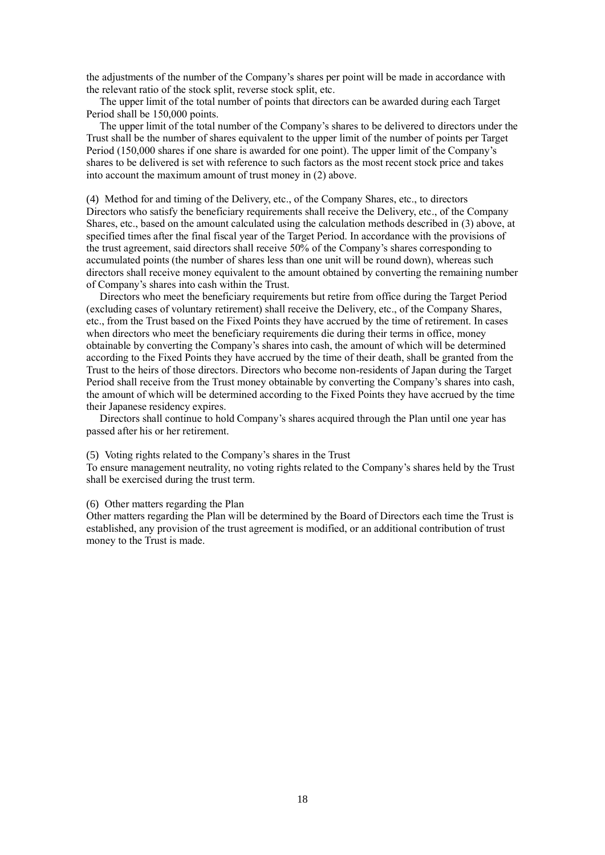the adjustments of the number of the Company's shares per point will be made in accordance with the relevant ratio of the stock split, reverse stock split, etc.

The upper limit of the total number of points that directors can be awarded during each Target Period shall be 150,000 points.

The upper limit of the total number of the Company's shares to be delivered to directors under the Trust shall be the number of shares equivalent to the upper limit of the number of points per Target Period (150,000 shares if one share is awarded for one point). The upper limit of the Company's shares to be delivered is set with reference to such factors as the most recent stock price and takes into account the maximum amount of trust money in (2) above.

(4) Method for and timing of the Delivery, etc., of the Company Shares, etc., to directors Directors who satisfy the beneficiary requirements shall receive the Delivery, etc., of the Company Shares, etc., based on the amount calculated using the calculation methods described in (3) above, at specified times after the final fiscal year of the Target Period. In accordance with the provisions of the trust agreement, said directors shall receive 50% of the Company's shares corresponding to accumulated points (the number of shares less than one unit will be round down), whereas such directors shall receive money equivalent to the amount obtained by converting the remaining number of Company's shares into cash within the Trust.

Directors who meet the beneficiary requirements but retire from office during the Target Period (excluding cases of voluntary retirement) shall receive the Delivery, etc., of the Company Shares, etc., from the Trust based on the Fixed Points they have accrued by the time of retirement. In cases when directors who meet the beneficiary requirements die during their terms in office, money obtainable by converting the Company's shares into cash, the amount of which will be determined according to the Fixed Points they have accrued by the time of their death, shall be granted from the Trust to the heirs of those directors. Directors who become non-residents of Japan during the Target Period shall receive from the Trust money obtainable by converting the Company's shares into cash, the amount of which will be determined according to the Fixed Points they have accrued by the time their Japanese residency expires.

Directors shall continue to hold Company's shares acquired through the Plan until one year has passed after his or her retirement.

#### (5) Voting rights related to the Company's shares in the Trust

To ensure management neutrality, no voting rights related to the Company's shares held by the Trust shall be exercised during the trust term.

#### (6) Other matters regarding the Plan

Other matters regarding the Plan will be determined by the Board of Directors each time the Trust is established, any provision of the trust agreement is modified, or an additional contribution of trust money to the Trust is made.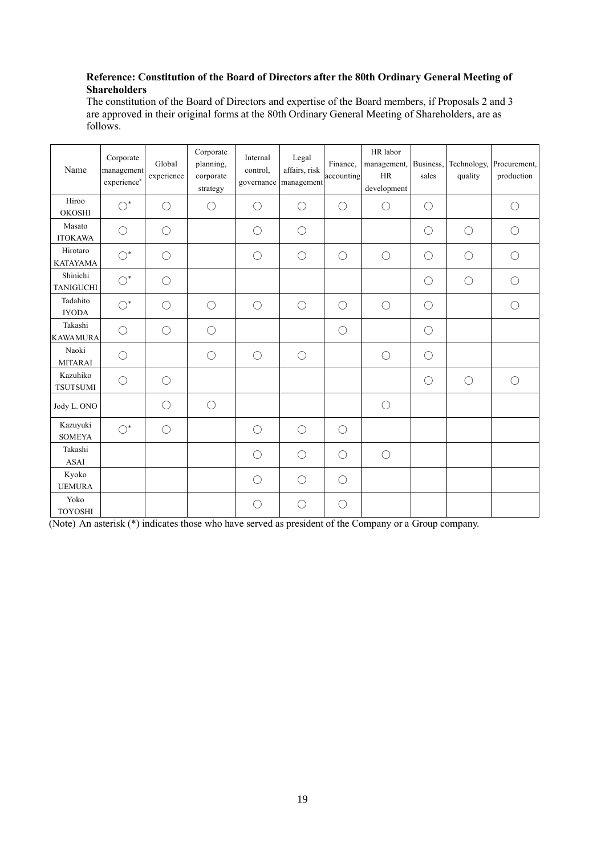## **Reference: Constitution of the Board of Directors after the 80th Ordinary General Meeting of Shareholders**

The constitution of the Board of Directors and expertise of the Board members, if Proposals 2 and 3 are approved in their original forms at the 80th Ordinary General Meeting of Shareholders, are as follows.

| Name                         | Corporate<br>management<br>experience* | Global<br>experience | Corporate<br>planning,<br>corporate<br>strategy | Internal<br>control.<br>governance | Legal<br>affairs, risk<br>management | Finance,<br>accounting | HR labor<br>management,<br>HR<br>development | Business,<br>sales | quality    | Technology, Procurement,<br>production |
|------------------------------|----------------------------------------|----------------------|-------------------------------------------------|------------------------------------|--------------------------------------|------------------------|----------------------------------------------|--------------------|------------|----------------------------------------|
| Hiroo<br><b>OKOSHI</b>       | $\bigcirc^*$                           | $\bigcirc$           | $\bigcirc$                                      | О                                  | $\bigcirc$                           | $\bigcirc$             | $\bigcirc$                                   | $\bigcirc$         |            | $\bigcirc$                             |
| Masato<br><b>ITOKAWA</b>     | $\bigcirc$                             | $\bigcirc$           |                                                 | О                                  | $\bigcirc$                           |                        |                                              | $\bigcirc$         | $\bigcirc$ | $\bigcirc$                             |
| Hirotaro<br><b>KATAYAMA</b>  | $\bigcirc^*$                           | $\bigcirc$           |                                                 | $\bigcirc$                         | $\bigcirc$                           | $\bigcirc$             | $\bigcirc$                                   | $\bigcirc$         | $\bigcirc$ | $\bigcirc$                             |
| Shinichi<br><b>TANIGUCHI</b> | $\bigcirc^*$                           | $\bigcirc$           |                                                 |                                    |                                      |                        |                                              | $\bigcirc$         | $\bigcirc$ | $\bigcirc$                             |
| Tadahito<br><b>IYODA</b>     | $\bigcirc^*$                           | $\bigcirc$           | $\bigcirc$                                      | $\bigcirc$                         | $\bigcirc$                           | $\bigcirc$             | $\bigcirc$                                   | $\bigcirc$         |            | $\bigcirc$                             |
| Takashi<br><b>KAWAMURA</b>   | $\bigcirc$                             | $\bigcirc$           | $\bigcirc$                                      |                                    |                                      | $\bigcirc$             |                                              | $\bigcirc$         |            |                                        |
| Naoki<br><b>MITARAI</b>      | $\bigcirc$                             |                      | $\bigcirc$                                      | $\bigcirc$                         | $\bigcirc$                           |                        | $\bigcirc$                                   | $\bigcirc$         |            |                                        |
| Kazuhiko<br><b>TSUTSUMI</b>  | $\bigcirc$                             | $\bigcirc$           |                                                 |                                    |                                      |                        |                                              | $\bigcirc$         | $\bigcirc$ | $\bigcirc$                             |
| Jody L. ONO                  |                                        | $\bigcirc$           | $\bigcirc$                                      |                                    |                                      |                        | $\bigcirc$                                   |                    |            |                                        |
| Kazuyuki<br><b>SOMEYA</b>    | $\bigcirc^*$                           | $\bigcirc$           |                                                 | О                                  | $\bigcirc$                           | $\bigcirc$             |                                              |                    |            |                                        |
| Takashi<br><b>ASAI</b>       |                                        |                      |                                                 | О                                  | $\bigcirc$                           | $\bigcirc$             | $\bigcirc$                                   |                    |            |                                        |
| Kyoko<br><b>UEMURA</b>       |                                        |                      |                                                 | $\bigcirc$                         | $\bigcirc$                           | $\bigcirc$             |                                              |                    |            |                                        |
| Yoko<br><b>TOYOSHI</b>       |                                        |                      |                                                 | О                                  | $\bigcirc$                           | $\bigcirc$             |                                              |                    |            |                                        |

(Note) An asterisk (\*) indicates those who have served as president of the Company or a Group company.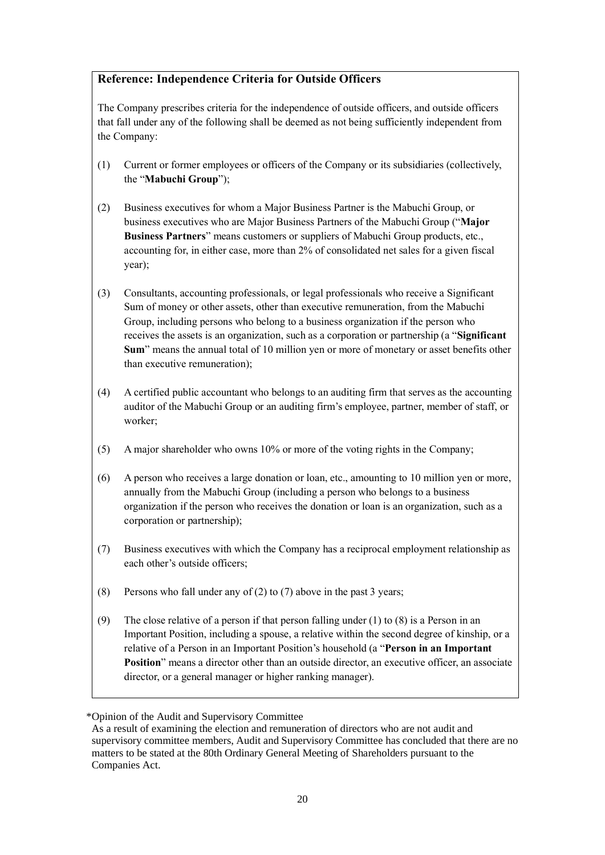# **Reference: Independence Criteria for Outside Officers**

The Company prescribes criteria for the independence of outside officers, and outside officers that fall under any of the following shall be deemed as not being sufficiently independent from the Company:

- (1) Current or former employees or officers of the Company or its subsidiaries (collectively, the "**Mabuchi Group**");
- (2) Business executives for whom a Major Business Partner is the Mabuchi Group, or business executives who are Major Business Partners of the Mabuchi Group ("**Major Business Partners**" means customers or suppliers of Mabuchi Group products, etc., accounting for, in either case, more than 2% of consolidated net sales for a given fiscal year);
- (3) Consultants, accounting professionals, or legal professionals who receive a Significant Sum of money or other assets, other than executive remuneration, from the Mabuchi Group, including persons who belong to a business organization if the person who receives the assets is an organization, such as a corporation or partnership (a "**Significant Sum**" means the annual total of 10 million yen or more of monetary or asset benefits other than executive remuneration);
- (4) A certified public accountant who belongs to an auditing firm that serves as the accounting auditor of the Mabuchi Group or an auditing firm's employee, partner, member of staff, or worker;
- (5) A major shareholder who owns 10% or more of the voting rights in the Company;
- (6) A person who receives a large donation or loan, etc., amounting to 10 million yen or more, annually from the Mabuchi Group (including a person who belongs to a business organization if the person who receives the donation or loan is an organization, such as a corporation or partnership);
- (7) Business executives with which the Company has a reciprocal employment relationship as each other's outside officers;
- (8) Persons who fall under any of (2) to (7) above in the past 3 years;
- (9) The close relative of a person if that person falling under (1) to (8) is a Person in an Important Position, including a spouse, a relative within the second degree of kinship, or a relative of a Person in an Important Position's household (a "**Person in an Important Position**" means a director other than an outside director, an executive officer, an associate director, or a general manager or higher ranking manager).

<sup>\*</sup>Opinion of the Audit and Supervisory Committee

As a result of examining the election and remuneration of directors who are not audit and supervisory committee members, Audit and Supervisory Committee has concluded that there are no matters to be stated at the 80th Ordinary General Meeting of Shareholders pursuant to the Companies Act.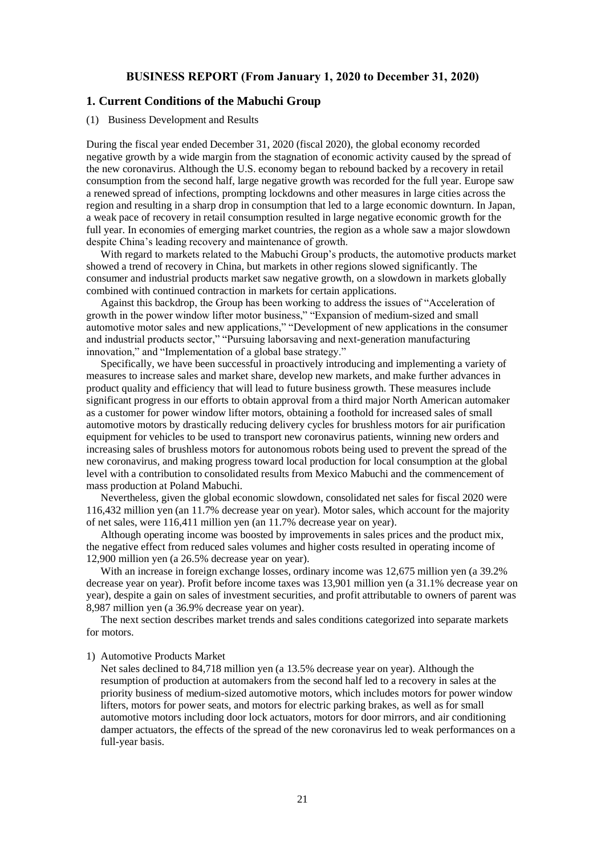### **BUSINESS REPORT (From January 1, 2020 to December 31, 2020)**

### **1. Current Conditions of the Mabuchi Group**

#### (1) Business Development and Results

During the fiscal year ended December 31, 2020 (fiscal 2020), the global economy recorded negative growth by a wide margin from the stagnation of economic activity caused by the spread of the new coronavirus. Although the U.S. economy began to rebound backed by a recovery in retail consumption from the second half, large negative growth was recorded for the full year. Europe saw a renewed spread of infections, prompting lockdowns and other measures in large cities across the region and resulting in a sharp drop in consumption that led to a large economic downturn. In Japan, a weak pace of recovery in retail consumption resulted in large negative economic growth for the full year. In economies of emerging market countries, the region as a whole saw a major slowdown despite China's leading recovery and maintenance of growth.

With regard to markets related to the Mabuchi Group's products, the automotive products market showed a trend of recovery in China, but markets in other regions slowed significantly. The consumer and industrial products market saw negative growth, on a slowdown in markets globally combined with continued contraction in markets for certain applications.

Against this backdrop, the Group has been working to address the issues of "Acceleration of growth in the power window lifter motor business," "Expansion of medium-sized and small automotive motor sales and new applications," "Development of new applications in the consumer and industrial products sector," "Pursuing laborsaving and next-generation manufacturing innovation," and "Implementation of a global base strategy."

Specifically, we have been successful in proactively introducing and implementing a variety of measures to increase sales and market share, develop new markets, and make further advances in product quality and efficiency that will lead to future business growth. These measures include significant progress in our efforts to obtain approval from a third major North American automaker as a customer for power window lifter motors, obtaining a foothold for increased sales of small automotive motors by drastically reducing delivery cycles for brushless motors for air purification equipment for vehicles to be used to transport new coronavirus patients, winning new orders and increasing sales of brushless motors for autonomous robots being used to prevent the spread of the new coronavirus, and making progress toward local production for local consumption at the global level with a contribution to consolidated results from Mexico Mabuchi and the commencement of mass production at Poland Mabuchi.

Nevertheless, given the global economic slowdown, consolidated net sales for fiscal 2020 were 116,432 million yen (an 11.7% decrease year on year). Motor sales, which account for the majority of net sales, were 116,411 million yen (an 11.7% decrease year on year).

Although operating income was boosted by improvements in sales prices and the product mix, the negative effect from reduced sales volumes and higher costs resulted in operating income of 12,900 million yen (a 26.5% decrease year on year).

With an increase in foreign exchange losses, ordinary income was 12,675 million yen (a 39.2% decrease year on year). Profit before income taxes was 13,901 million yen (a 31.1% decrease year on year), despite a gain on sales of investment securities, and profit attributable to owners of parent was 8,987 million yen (a 36.9% decrease year on year).

The next section describes market trends and sales conditions categorized into separate markets for motors.

### 1) Automotive Products Market

Net sales declined to 84,718 million yen (a 13.5% decrease year on year). Although the resumption of production at automakers from the second half led to a recovery in sales at the priority business of medium-sized automotive motors, which includes motors for power window lifters, motors for power seats, and motors for electric parking brakes, as well as for small automotive motors including door lock actuators, motors for door mirrors, and air conditioning damper actuators, the effects of the spread of the new coronavirus led to weak performances on a full-year basis.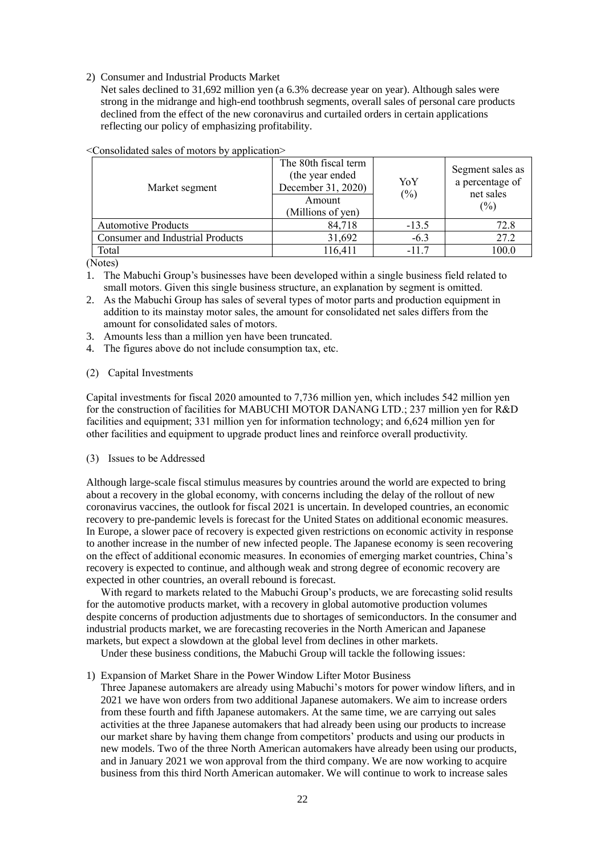2) Consumer and Industrial Products Market

Net sales declined to 31,692 million yen (a 6.3% decrease year on year). Although sales were strong in the midrange and high-end toothbrush segments, overall sales of personal care products declined from the effect of the new coronavirus and curtailed orders in certain applications reflecting our policy of emphasizing profitability.

| Market segment                          | The 80th fiscal term<br>(the year ended<br>December 31, 2020)<br>Amount<br>(Millions of yen) | YoY<br>$(\%)$ | Segment sales as<br>a percentage of<br>net sales<br>$(\%)$ |
|-----------------------------------------|----------------------------------------------------------------------------------------------|---------------|------------------------------------------------------------|
| <b>Automotive Products</b>              | 84,718                                                                                       | $-13.5$       | 72.8                                                       |
| <b>Consumer and Industrial Products</b> | 31,692                                                                                       | $-6.3$        | 27.2                                                       |
| Total                                   | 116,411                                                                                      | $-117$        | 100.0                                                      |

<Consolidated sales of motors by application>

(Notes)

- 1. The Mabuchi Group's businesses have been developed within a single business field related to small motors. Given this single business structure, an explanation by segment is omitted.
- 2. As the Mabuchi Group has sales of several types of motor parts and production equipment in addition to its mainstay motor sales, the amount for consolidated net sales differs from the amount for consolidated sales of motors.
- 3. Amounts less than a million yen have been truncated.
- 4. The figures above do not include consumption tax, etc.

### (2) Capital Investments

Capital investments for fiscal 2020 amounted to 7,736 million yen, which includes 542 million yen for the construction of facilities for MABUCHI MOTOR DANANG LTD.; 237 million yen for R&D facilities and equipment; 331 million yen for information technology; and 6,624 million yen for other facilities and equipment to upgrade product lines and reinforce overall productivity.

### (3) Issues to be Addressed

Although large-scale fiscal stimulus measures by countries around the world are expected to bring about a recovery in the global economy, with concerns including the delay of the rollout of new coronavirus vaccines, the outlook for fiscal 2021 is uncertain. In developed countries, an economic recovery to pre-pandemic levels is forecast for the United States on additional economic measures. In Europe, a slower pace of recovery is expected given restrictions on economic activity in response to another increase in the number of new infected people. The Japanese economy is seen recovering on the effect of additional economic measures. In economies of emerging market countries, China's recovery is expected to continue, and although weak and strong degree of economic recovery are expected in other countries, an overall rebound is forecast.

With regard to markets related to the Mabuchi Group's products, we are forecasting solid results for the automotive products market, with a recovery in global automotive production volumes despite concerns of production adjustments due to shortages of semiconductors. In the consumer and industrial products market, we are forecasting recoveries in the North American and Japanese markets, but expect a slowdown at the global level from declines in other markets.

Under these business conditions, the Mabuchi Group will tackle the following issues:

### 1) Expansion of Market Share in the Power Window Lifter Motor Business

Three Japanese automakers are already using Mabuchi's motors for power window lifters, and in 2021 we have won orders from two additional Japanese automakers. We aim to increase orders from these fourth and fifth Japanese automakers. At the same time, we are carrying out sales activities at the three Japanese automakers that had already been using our products to increase our market share by having them change from competitors' products and using our products in new models. Two of the three North American automakers have already been using our products, and in January 2021 we won approval from the third company. We are now working to acquire business from this third North American automaker. We will continue to work to increase sales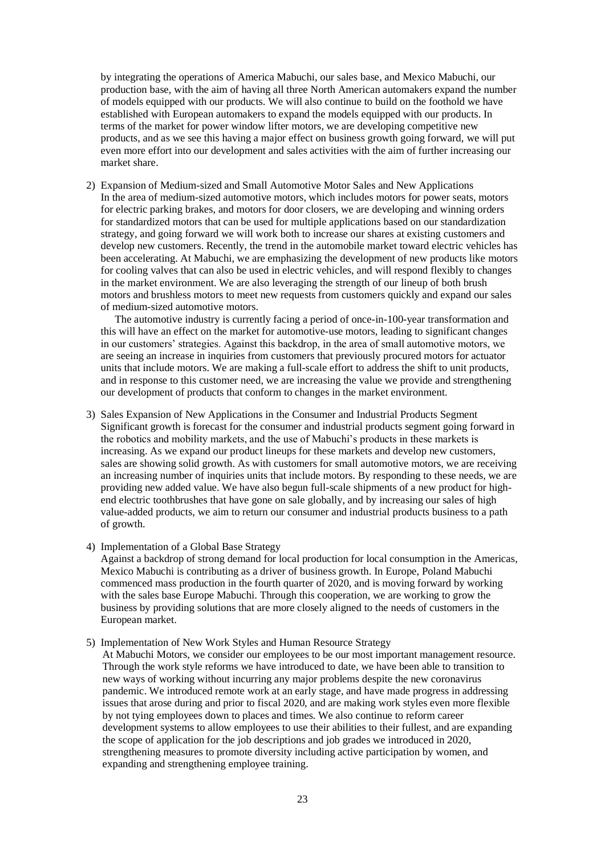by integrating the operations of America Mabuchi, our sales base, and Mexico Mabuchi, our production base, with the aim of having all three North American automakers expand the number of models equipped with our products. We will also continue to build on the foothold we have established with European automakers to expand the models equipped with our products. In terms of the market for power window lifter motors, we are developing competitive new products, and as we see this having a major effect on business growth going forward, we will put even more effort into our development and sales activities with the aim of further increasing our market share.

2) Expansion of Medium-sized and Small Automotive Motor Sales and New Applications In the area of medium-sized automotive motors, which includes motors for power seats, motors for electric parking brakes, and motors for door closers, we are developing and winning orders for standardized motors that can be used for multiple applications based on our standardization strategy, and going forward we will work both to increase our shares at existing customers and develop new customers. Recently, the trend in the automobile market toward electric vehicles has been accelerating. At Mabuchi, we are emphasizing the development of new products like motors for cooling valves that can also be used in electric vehicles, and will respond flexibly to changes in the market environment. We are also leveraging the strength of our lineup of both brush motors and brushless motors to meet new requests from customers quickly and expand our sales of medium-sized automotive motors.

The automotive industry is currently facing a period of once-in-100-year transformation and this will have an effect on the market for automotive-use motors, leading to significant changes in our customers' strategies. Against this backdrop, in the area of small automotive motors, we are seeing an increase in inquiries from customers that previously procured motors for actuator units that include motors. We are making a full-scale effort to address the shift to unit products, and in response to this customer need, we are increasing the value we provide and strengthening our development of products that conform to changes in the market environment.

- 3) Sales Expansion of New Applications in the Consumer and Industrial Products Segment Significant growth is forecast for the consumer and industrial products segment going forward in the robotics and mobility markets, and the use of Mabuchi's products in these markets is increasing. As we expand our product lineups for these markets and develop new customers, sales are showing solid growth. As with customers for small automotive motors, we are receiving an increasing number of inquiries units that include motors. By responding to these needs, we are providing new added value. We have also begun full-scale shipments of a new product for highend electric toothbrushes that have gone on sale globally, and by increasing our sales of high value-added products, we aim to return our consumer and industrial products business to a path of growth.
- 4) Implementation of a Global Base Strategy

Against a backdrop of strong demand for local production for local consumption in the Americas, Mexico Mabuchi is contributing as a driver of business growth. In Europe, Poland Mabuchi commenced mass production in the fourth quarter of 2020, and is moving forward by working with the sales base Europe Mabuchi. Through this cooperation, we are working to grow the business by providing solutions that are more closely aligned to the needs of customers in the European market.

5) Implementation of New Work Styles and Human Resource Strategy

At Mabuchi Motors, we consider our employees to be our most important management resource. Through the work style reforms we have introduced to date, we have been able to transition to new ways of working without incurring any major problems despite the new coronavirus pandemic. We introduced remote work at an early stage, and have made progress in addressing issues that arose during and prior to fiscal 2020, and are making work styles even more flexible by not tying employees down to places and times. We also continue to reform career development systems to allow employees to use their abilities to their fullest, and are expanding the scope of application for the job descriptions and job grades we introduced in 2020, strengthening measures to promote diversity including active participation by women, and expanding and strengthening employee training.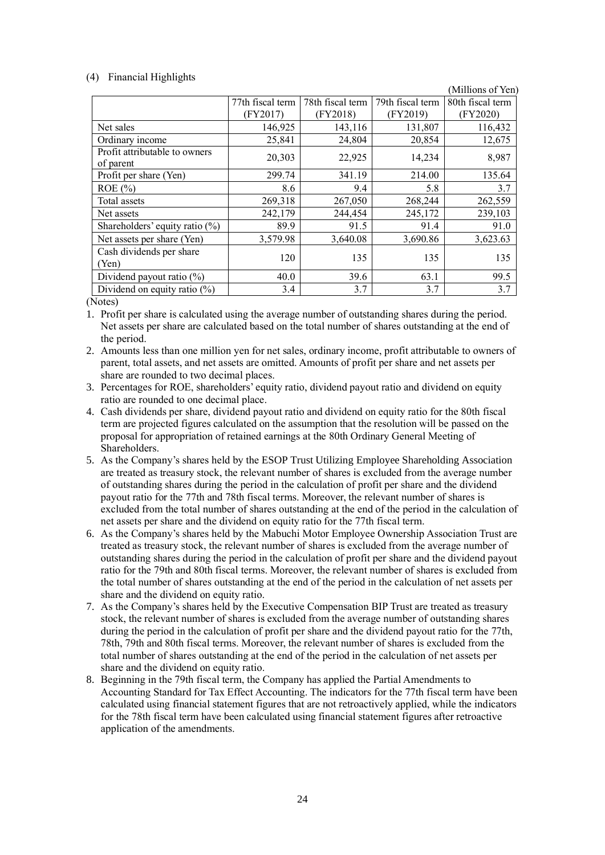### (4) Financial Highlights

|                                            |                  |                  |                  | (Millions of Yen) |
|--------------------------------------------|------------------|------------------|------------------|-------------------|
|                                            | 77th fiscal term | 78th fiscal term | 79th fiscal term | 80th fiscal term  |
|                                            | (FY2017)         | (FY2018)         | (FY2019)         | (FY2020)          |
| Net sales                                  | 146,925          | 143,116          | 131,807          | 116,432           |
| Ordinary income                            | 25,841           | 24,804           | 20,854           | 12,675            |
| Profit attributable to owners<br>of parent | 20,303           | 22,925           | 14,234           | 8,987             |
| Profit per share (Yen)                     | 299.74           | 341.19           | 214.00           | 135.64            |
| $ROE$ (%)                                  | 8.6              | 9.4              | 5.8              | 3.7               |
| Total assets                               | 269,318          | 267,050          | 268,244          | 262,559           |
| Net assets                                 | 242,179          | 244,454          | 245,172          | 239,103           |
| Shareholders' equity ratio $(\%)$          | 89.9             | 91.5             | 91.4             | 91.0              |
| Net assets per share (Yen)                 | 3,579.98         | 3,640.08         | 3,690.86         | 3,623.63          |
| Cash dividends per share<br>(Yen)          | 120              | 135              | 135              | 135               |
| Dividend payout ratio $(\%)$               | 40.0             | 39.6             | 63.1             | 99.5              |
| Dividend on equity ratio $(\%)$            | 3.4              | 3.7              | 3.7              | 3.7               |

(Notes)

1. Profit per share is calculated using the average number of outstanding shares during the period. Net assets per share are calculated based on the total number of shares outstanding at the end of the period.

2. Amounts less than one million yen for net sales, ordinary income, profit attributable to owners of parent, total assets, and net assets are omitted. Amounts of profit per share and net assets per share are rounded to two decimal places.

3. Percentages for ROE, shareholders' equity ratio, dividend payout ratio and dividend on equity ratio are rounded to one decimal place.

- 4. Cash dividends per share, dividend payout ratio and dividend on equity ratio for the 80th fiscal term are projected figures calculated on the assumption that the resolution will be passed on the proposal for appropriation of retained earnings at the 80th Ordinary General Meeting of Shareholders.
- 5. As the Company's shares held by the ESOP Trust Utilizing Employee Shareholding Association are treated as treasury stock, the relevant number of shares is excluded from the average number of outstanding shares during the period in the calculation of profit per share and the dividend payout ratio for the 77th and 78th fiscal terms. Moreover, the relevant number of shares is excluded from the total number of shares outstanding at the end of the period in the calculation of net assets per share and the dividend on equity ratio for the 77th fiscal term.
- 6. As the Company's shares held by the Mabuchi Motor Employee Ownership Association Trust are treated as treasury stock, the relevant number of shares is excluded from the average number of outstanding shares during the period in the calculation of profit per share and the dividend payout ratio for the 79th and 80th fiscal terms. Moreover, the relevant number of shares is excluded from the total number of shares outstanding at the end of the period in the calculation of net assets per share and the dividend on equity ratio.
- 7. As the Company's shares held by the Executive Compensation BIP Trust are treated as treasury stock, the relevant number of shares is excluded from the average number of outstanding shares during the period in the calculation of profit per share and the dividend payout ratio for the 77th, 78th, 79th and 80th fiscal terms. Moreover, the relevant number of shares is excluded from the total number of shares outstanding at the end of the period in the calculation of net assets per share and the dividend on equity ratio.
- 8. Beginning in the 79th fiscal term, the Company has applied the Partial Amendments to Accounting Standard for Tax Effect Accounting. The indicators for the 77th fiscal term have been calculated using financial statement figures that are not retroactively applied, while the indicators for the 78th fiscal term have been calculated using financial statement figures after retroactive application of the amendments.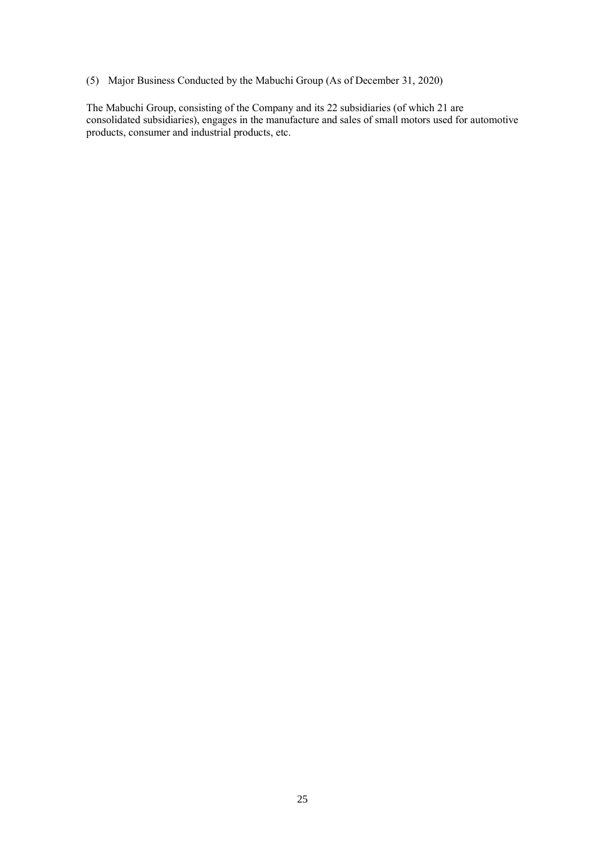(5) Major Business Conducted by the Mabuchi Group (As of December 31, 2020)

The Mabuchi Group, consisting of the Company and its 22 subsidiaries (of which 21 are consolidated subsidiaries), engages in the manufacture and sales of small motors used for automotive products, consumer and industrial products, etc.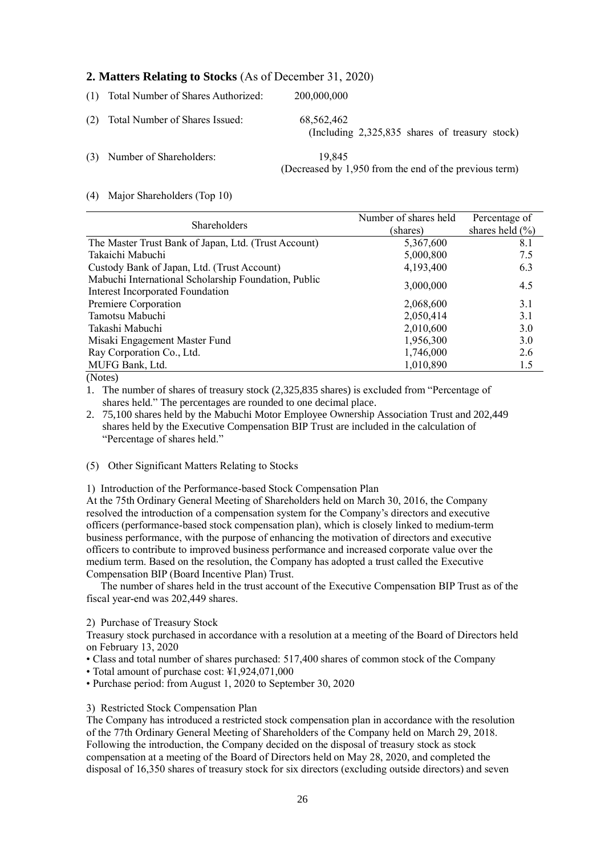# **2. Matters Relating to Stocks** (As of December 31, 2020)

(1) Total Number of Shares Authorized: 200,000,000 (2) Total Number of Shares Issued: 68,562,462 (Including 2,325,835 shares of treasury stock) (3) Number of Shareholders: 19,845 (Decreased by 1,950 from the end of the previous term)

### (4) Major Shareholders (Top 10)

|                                                      | Number of shares held | Percentage of       |
|------------------------------------------------------|-----------------------|---------------------|
| <b>Shareholders</b>                                  | (shares)              | shares held $(\% )$ |
| The Master Trust Bank of Japan, Ltd. (Trust Account) | 5,367,600             | 8.1                 |
| Takaichi Mabuchi                                     | 5,000,800             | 7.5                 |
| Custody Bank of Japan, Ltd. (Trust Account)          | 4,193,400             | 6.3                 |
| Mabuchi International Scholarship Foundation, Public | 3,000,000             | 4.5                 |
| <b>Interest Incorporated Foundation</b>              |                       |                     |
| Premiere Corporation                                 | 2,068,600             | 3.1                 |
| Tamotsu Mabuchi                                      | 2,050,414             | 3.1                 |
| Takashi Mabuchi                                      | 2,010,600             | 3.0                 |
| Misaki Engagement Master Fund                        | 1,956,300             | 3.0                 |
| Ray Corporation Co., Ltd.                            | 1,746,000             | 2.6                 |
| MUFG Bank, Ltd.                                      | 1,010,890             | 1.5                 |

(Notes)

1. The number of shares of treasury stock (2,325,835 shares) is excluded from "Percentage of shares held." The percentages are rounded to one decimal place.

2. 75,100 shares held by the Mabuchi Motor Employee Ownership Association Trust and 202,449 shares held by the Executive Compensation BIP Trust are included in the calculation of "Percentage of shares held."

# (5) Other Significant Matters Relating to Stocks

1) Introduction of the Performance-based Stock Compensation Plan

At the 75th Ordinary General Meeting of Shareholders held on March 30, 2016, the Company resolved the introduction of a compensation system for the Company's directors and executive officers (performance-based stock compensation plan), which is closely linked to medium-term business performance, with the purpose of enhancing the motivation of directors and executive officers to contribute to improved business performance and increased corporate value over the medium term. Based on the resolution, the Company has adopted a trust called the Executive Compensation BIP (Board Incentive Plan) Trust.

The number of shares held in the trust account of the Executive Compensation BIP Trust as of the fiscal year-end was 202,449 shares.

### 2) Purchase of Treasury Stock

Treasury stock purchased in accordance with a resolution at a meeting of the Board of Directors held on February 13, 2020

• Class and total number of shares purchased: 517,400 shares of common stock of the Company

- Total amount of purchase cost: ¥1,924,071,000
- Purchase period: from August 1, 2020 to September 30, 2020

### 3) Restricted Stock Compensation Plan

The Company has introduced a restricted stock compensation plan in accordance with the resolution of the 77th Ordinary General Meeting of Shareholders of the Company held on March 29, 2018. Following the introduction, the Company decided on the disposal of treasury stock as stock compensation at a meeting of the Board of Directors held on May 28, 2020, and completed the disposal of 16,350 shares of treasury stock for six directors (excluding outside directors) and seven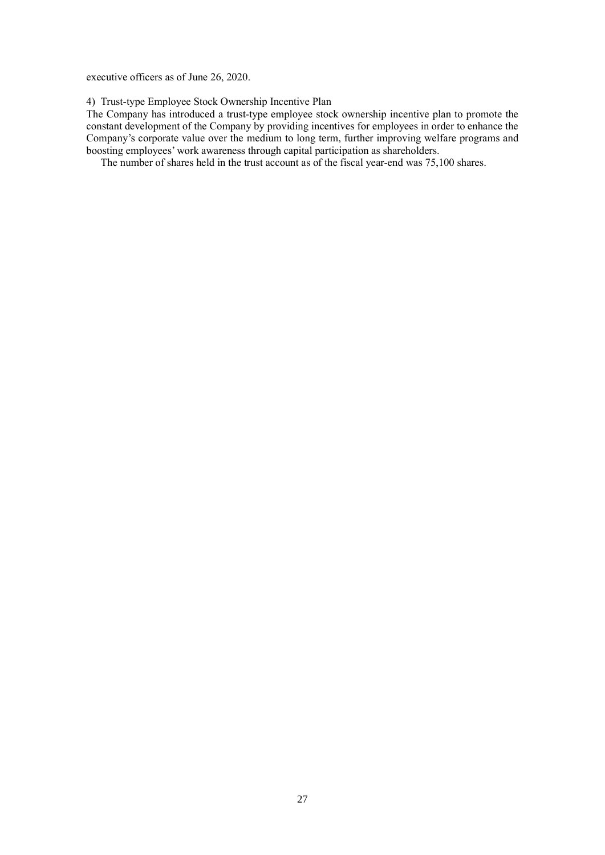executive officers as of June 26, 2020.

4) Trust-type Employee Stock Ownership Incentive Plan

The Company has introduced a trust-type employee stock ownership incentive plan to promote the constant development of the Company by providing incentives for employees in order to enhance the Company's corporate value over the medium to long term, further improving welfare programs and boosting employees' work awareness through capital participation as shareholders.

The number of shares held in the trust account as of the fiscal year-end was 75,100 shares.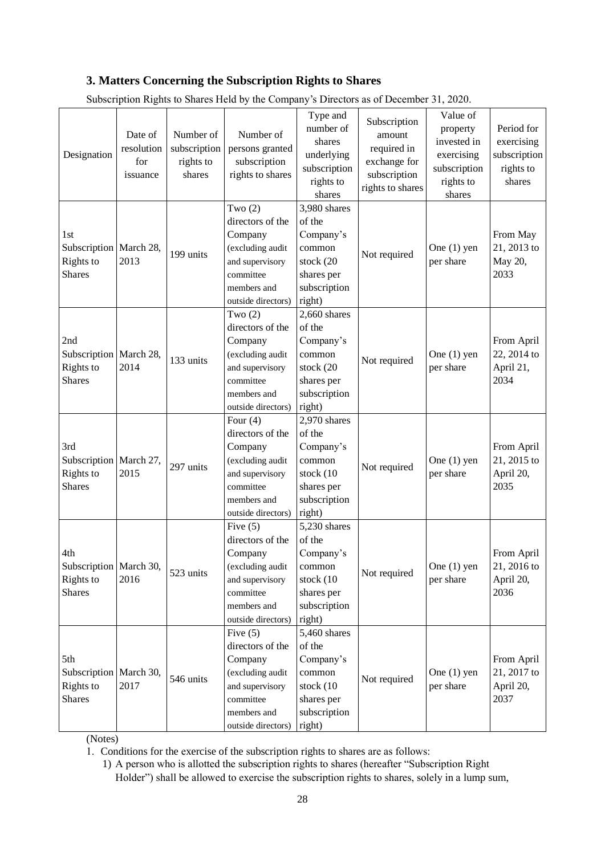# **3. Matters Concerning the Subscription Rights to Shares**

| Designation                                                   | Date of<br>resolution<br>for<br>issuance | Number of<br>subscription<br>rights to<br>shares | Number of<br>persons granted<br>subscription<br>rights to shares                                                                   | Type and<br>number of<br>shares<br>underlying<br>subscription<br>rights to<br>shares               | Subscription<br>amount<br>required in<br>exchange for<br>subscription<br>rights to shares | Value of<br>property<br>invested in<br>exercising<br>subscription<br>rights to<br>shares | Period for<br>exercising<br>subscription<br>rights to<br>shares |
|---------------------------------------------------------------|------------------------------------------|--------------------------------------------------|------------------------------------------------------------------------------------------------------------------------------------|----------------------------------------------------------------------------------------------------|-------------------------------------------------------------------------------------------|------------------------------------------------------------------------------------------|-----------------------------------------------------------------|
| 1st<br>Subscription   March 28,<br>Rights to<br><b>Shares</b> | 2013                                     | 199 units                                        | Two $(2)$<br>directors of the<br>Company<br>(excluding audit<br>and supervisory<br>committee<br>members and<br>outside directors)  | 3,980 shares<br>of the<br>Company's<br>common<br>stock (20<br>shares per<br>subscription<br>right) | Not required                                                                              | One $(1)$ yen<br>per share                                                               | From May<br>21, 2013 to<br>May 20,<br>2033                      |
| 2nd<br>Subscription   March 28,<br>Rights to<br><b>Shares</b> | 2014                                     | 133 units                                        | Two $(2)$<br>directors of the<br>Company<br>(excluding audit<br>and supervisory<br>committee<br>members and<br>outside directors)  | 2,660 shares<br>of the<br>Company's<br>common<br>stock (20<br>shares per<br>subscription<br>right) | Not required                                                                              | One $(1)$ yen<br>per share                                                               | From April<br>22, 2014 to<br>April 21,<br>2034                  |
| 3rd<br>Subscription   March 27,<br>Rights to<br><b>Shares</b> | 2015                                     | 297 units                                        | Four $(4)$<br>directors of the<br>Company<br>(excluding audit<br>and supervisory<br>committee<br>members and<br>outside directors) | 2,970 shares<br>of the<br>Company's<br>common<br>stock (10<br>shares per<br>subscription<br>right) | Not required                                                                              | One $(1)$ yen<br>per share                                                               | From April<br>21, 2015 to<br>April 20,<br>2035                  |
| 4th<br>Subscription   March 30,<br>Rights to<br><b>Shares</b> | 2016                                     | 523 units                                        | Five $(5)$<br>directors of the<br>Company<br>(excluding audit<br>and supervisory<br>committee<br>members and<br>outside directors) | 5,230 shares<br>of the<br>Company's<br>common<br>stock (10<br>shares per<br>subscription<br>right) | Not required                                                                              | One $(1)$ yen<br>per share                                                               | From April<br>21, 2016 to<br>April 20,<br>2036                  |
| 5th<br>Subscription March 30,<br>Rights to<br><b>Shares</b>   | 2017                                     | 546 units                                        | Five $(5)$<br>directors of the<br>Company<br>(excluding audit<br>and supervisory<br>committee<br>members and<br>outside directors) | 5,460 shares<br>of the<br>Company's<br>common<br>stock (10<br>shares per<br>subscription<br>right) | Not required                                                                              | One $(1)$ yen<br>per share                                                               | From April<br>21, 2017 to<br>April 20,<br>2037                  |

Subscription Rights to Shares Held by the Company's Directors as of December 31, 2020.

(Notes)

1. Conditions for the exercise of the subscription rights to shares are as follows:

1) A person who is allotted the subscription rights to shares (hereafter "Subscription Right Holder") shall be allowed to exercise the subscription rights to shares, solely in a lump sum,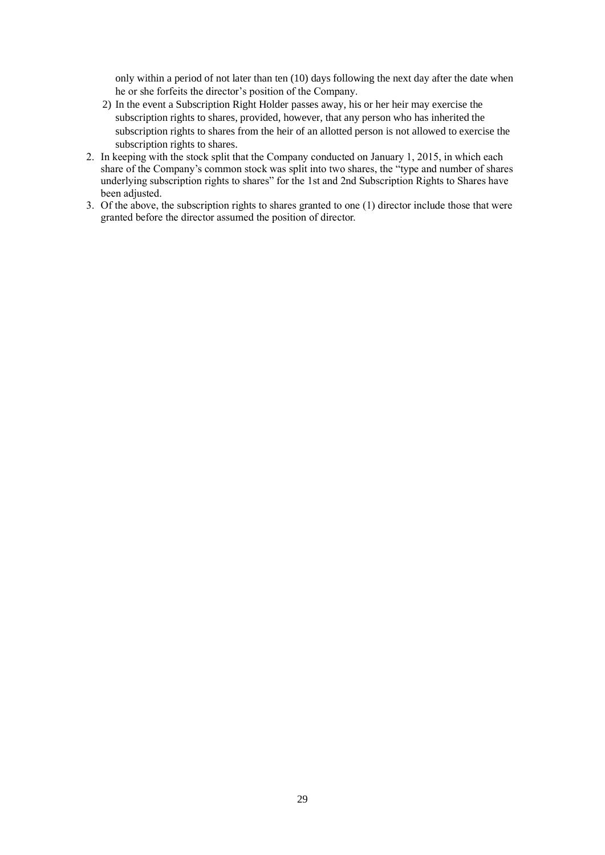only within a period of not later than ten (10) days following the next day after the date when he or she forfeits the director's position of the Company.

- 2) In the event a Subscription Right Holder passes away, his or her heir may exercise the subscription rights to shares, provided, however, that any person who has inherited the subscription rights to shares from the heir of an allotted person is not allowed to exercise the subscription rights to shares.
- 2. In keeping with the stock split that the Company conducted on January 1, 2015, in which each share of the Company's common stock was split into two shares, the "type and number of shares underlying subscription rights to shares" for the 1st and 2nd Subscription Rights to Shares have been adjusted.
- 3. Of the above, the subscription rights to shares granted to one (1) director include those that were granted before the director assumed the position of director.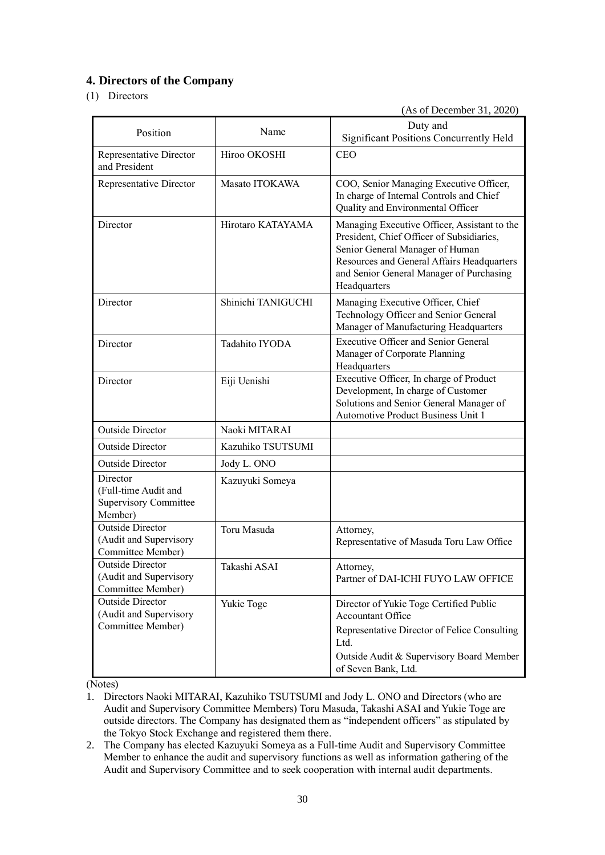# **4. Directors of the Company**

# (1) Directors

(As of December 31, 2020)

| Position                                                                    | Name               | Duty and<br><b>Significant Positions Concurrently Held</b>                                                                                                                                                                             |
|-----------------------------------------------------------------------------|--------------------|----------------------------------------------------------------------------------------------------------------------------------------------------------------------------------------------------------------------------------------|
| Representative Director<br>and President                                    | Hiroo OKOSHI       | <b>CEO</b>                                                                                                                                                                                                                             |
| Representative Director                                                     | Masato ITOKAWA     | COO, Senior Managing Executive Officer,<br>In charge of Internal Controls and Chief<br>Quality and Environmental Officer                                                                                                               |
| Director                                                                    | Hirotaro KATAYAMA  | Managing Executive Officer, Assistant to the<br>President, Chief Officer of Subsidiaries,<br>Senior General Manager of Human<br>Resources and General Affairs Headquarters<br>and Senior General Manager of Purchasing<br>Headquarters |
| Director                                                                    | Shinichi TANIGUCHI | Managing Executive Officer, Chief<br>Technology Officer and Senior General<br>Manager of Manufacturing Headquarters                                                                                                                    |
| Director                                                                    | Tadahito IYODA     | <b>Executive Officer and Senior General</b><br>Manager of Corporate Planning<br>Headquarters                                                                                                                                           |
| Director                                                                    | Eiji Uenishi       | Executive Officer, In charge of Product<br>Development, In charge of Customer<br>Solutions and Senior General Manager of<br>Automotive Product Business Unit 1                                                                         |
| <b>Outside Director</b>                                                     | Naoki MITARAI      |                                                                                                                                                                                                                                        |
| <b>Outside Director</b>                                                     | Kazuhiko TSUTSUMI  |                                                                                                                                                                                                                                        |
| <b>Outside Director</b>                                                     | Jody L. ONO        |                                                                                                                                                                                                                                        |
| Director<br>(Full-time Audit and<br><b>Supervisory Committee</b><br>Member) | Kazuyuki Someya    |                                                                                                                                                                                                                                        |
| <b>Outside Director</b><br>(Audit and Supervisory<br>Committee Member)      | Toru Masuda        | Attorney,<br>Representative of Masuda Toru Law Office                                                                                                                                                                                  |
| <b>Outside Director</b><br>(Audit and Supervisory<br>Committee Member)      | Takashi ASAI       | Attorney,<br>Partner of DAI-ICHI FUYO LAW OFFICE                                                                                                                                                                                       |
| <b>Outside Director</b><br>(Audit and Supervisory<br>Committee Member)      | Yukie Toge         | Director of Yukie Toge Certified Public<br>Accountant Office<br>Representative Director of Felice Consulting<br>Ltd.<br>Outside Audit & Supervisory Board Member<br>of Seven Bank, Ltd.                                                |

(Notes)

- 1. Directors Naoki MITARAI, Kazuhiko TSUTSUMI and Jody L. ONO and Directors (who are Audit and Supervisory Committee Members) Toru Masuda, Takashi ASAI and Yukie Toge are outside directors. The Company has designated them as "independent officers" as stipulated by the Tokyo Stock Exchange and registered them there.
- 2. The Company has elected Kazuyuki Someya as a Full-time Audit and Supervisory Committee Member to enhance the audit and supervisory functions as well as information gathering of the Audit and Supervisory Committee and to seek cooperation with internal audit departments.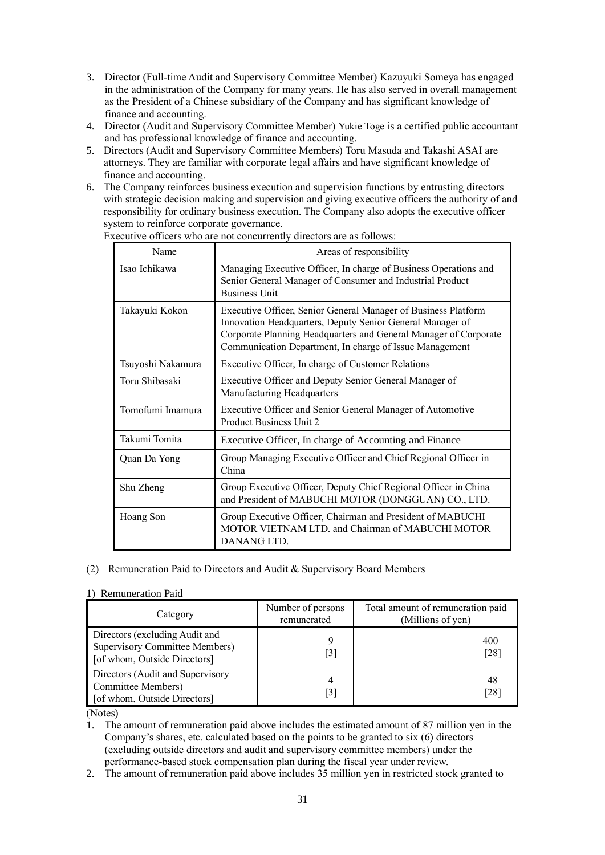- 3. Director (Full-time Audit and Supervisory Committee Member) Kazuyuki Someya has engaged in the administration of the Company for many years. He has also served in overall management as the President of a Chinese subsidiary of the Company and has significant knowledge of finance and accounting.
- 4. Director (Audit and Supervisory Committee Member) Yukie Toge is a certified public accountant and has professional knowledge of finance and accounting.
- 5. Directors (Audit and Supervisory Committee Members) Toru Masuda and Takashi ASAI are attorneys. They are familiar with corporate legal affairs and have significant knowledge of finance and accounting.
- 6. The Company reinforces business execution and supervision functions by entrusting directors with strategic decision making and supervision and giving executive officers the authority of and responsibility for ordinary business execution. The Company also adopts the executive officer system to reinforce corporate governance.

| Name              | Areas of responsibility                                                                                                                                                                                                                                    |
|-------------------|------------------------------------------------------------------------------------------------------------------------------------------------------------------------------------------------------------------------------------------------------------|
| Isao Ichikawa     | Managing Executive Officer, In charge of Business Operations and<br>Senior General Manager of Consumer and Industrial Product<br><b>Business Unit</b>                                                                                                      |
| Takayuki Kokon    | Executive Officer, Senior General Manager of Business Platform<br>Innovation Headquarters, Deputy Senior General Manager of<br>Corporate Planning Headquarters and General Manager of Corporate<br>Communication Department, In charge of Issue Management |
| Tsuyoshi Nakamura | Executive Officer, In charge of Customer Relations                                                                                                                                                                                                         |
| Toru Shibasaki    | Executive Officer and Deputy Senior General Manager of<br>Manufacturing Headquarters                                                                                                                                                                       |
| Tomofumi Imamura  | Executive Officer and Senior General Manager of Automotive<br>Product Business Unit 2                                                                                                                                                                      |
| Takumi Tomita     | Executive Officer, In charge of Accounting and Finance                                                                                                                                                                                                     |
| Quan Da Yong      | Group Managing Executive Officer and Chief Regional Officer in<br>China                                                                                                                                                                                    |
| Shu Zheng         | Group Executive Officer, Deputy Chief Regional Officer in China<br>and President of MABUCHI MOTOR (DONGGUAN) CO., LTD.                                                                                                                                     |
| Hoang Son         | Group Executive Officer, Chairman and President of MABUCHI<br>MOTOR VIETNAM LTD. and Chairman of MABUCHI MOTOR<br>DANANG LTD.                                                                                                                              |

Executive officers who are not concurrently directors are as follows:

### (2) Remuneration Paid to Directors and Audit & Supervisory Board Members

#### 1) Remuneration Paid

| Category                                                                                         | Number of persons<br>remunerated | Total amount of remuneration paid<br>(Millions of yen) |
|--------------------------------------------------------------------------------------------------|----------------------------------|--------------------------------------------------------|
| Directors (excluding Audit and<br>Supervisory Committee Members)<br>[of whom, Outside Directors] | [3]                              | 400<br>[28]                                            |
| Directors (Audit and Supervisory<br>Committee Members)<br>[of whom, Outside Directors]           | 4<br>[3]                         | 48<br>$\lceil 28 \rceil$                               |

(Notes)

1. The amount of remuneration paid above includes the estimated amount of 87 million yen in the Company's shares, etc. calculated based on the points to be granted to six (6) directors (excluding outside directors and audit and supervisory committee members) under the performance-based stock compensation plan during the fiscal year under review.

2. The amount of remuneration paid above includes 35 million yen in restricted stock granted to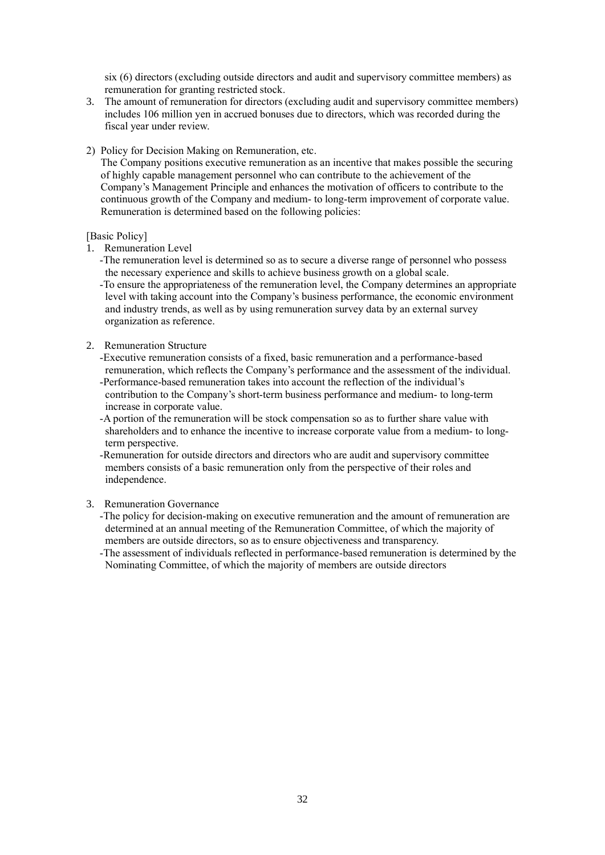six (6) directors (excluding outside directors and audit and supervisory committee members) as remuneration for granting restricted stock.

- 3. The amount of remuneration for directors (excluding audit and supervisory committee members) includes 106 million yen in accrued bonuses due to directors, which was recorded during the fiscal year under review.
- 2) Policy for Decision Making on Remuneration, etc.

The Company positions executive remuneration as an incentive that makes possible the securing of highly capable management personnel who can contribute to the achievement of the Company's Management Principle and enhances the motivation of officers to contribute to the continuous growth of the Company and medium- to long-term improvement of corporate value. Remuneration is determined based on the following policies:

### [Basic Policy]

- 1. Remuneration Level
	- -The remuneration level is determined so as to secure a diverse range of personnel who possess the necessary experience and skills to achieve business growth on a global scale.

-To ensure the appropriateness of the remuneration level, the Company determines an appropriate level with taking account into the Company's business performance, the economic environment and industry trends, as well as by using remuneration survey data by an external survey organization as reference.

2. Remuneration Structure

-Executive remuneration consists of a fixed, basic remuneration and a performance-based remuneration, which reflects the Company's performance and the assessment of the individual.

- -Performance-based remuneration takes into account the reflection of the individual's contribution to the Company's short-term business performance and medium- to long-term increase in corporate value.
- -A portion of the remuneration will be stock compensation so as to further share value with shareholders and to enhance the incentive to increase corporate value from a medium- to longterm perspective.

-Remuneration for outside directors and directors who are audit and supervisory committee members consists of a basic remuneration only from the perspective of their roles and independence.

### 3. Remuneration Governance

- -The policy for decision-making on executive remuneration and the amount of remuneration are determined at an annual meeting of the Remuneration Committee, of which the majority of members are outside directors, so as to ensure objectiveness and transparency.
- -The assessment of individuals reflected in performance-based remuneration is determined by the Nominating Committee, of which the majority of members are outside directors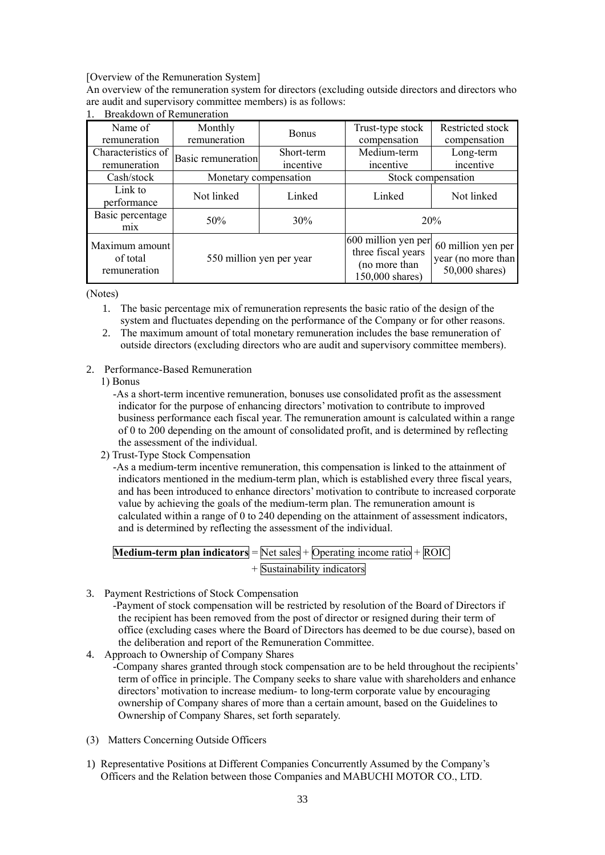[Overview of the Remuneration System]

An overview of the remuneration system for directors (excluding outside directors and directors who are audit and supervisory committee members) is as follows:

| Name of<br>remuneration                    | Monthly<br>remuneration | <b>Bonus</b>             | Trust-type stock<br>compensation                                              | Restricted stock<br>compensation                           |
|--------------------------------------------|-------------------------|--------------------------|-------------------------------------------------------------------------------|------------------------------------------------------------|
| Characteristics of<br>remuneration         | Basic remuneration      | Short-term<br>incentive  | Medium-term<br>incentive                                                      | Long-term<br>incentive                                     |
| Cash/stock                                 |                         | Monetary compensation    |                                                                               | Stock compensation                                         |
| Link to<br>performance                     | Not linked              | Linked                   | Linked                                                                        | Not linked                                                 |
| Basic percentage<br>m <sub>1</sub> x       | 50%                     | 30%                      | 20%                                                                           |                                                            |
| Maximum amount<br>of total<br>remuneration |                         | 550 million yen per year | 600 million yen per<br>three fiscal years<br>(no more than<br>150,000 shares) | 60 million yen per<br>year (no more than<br>50,000 shares) |

# 1. Breakdown of Remuneration

(Notes)

- 1. The basic percentage mix of remuneration represents the basic ratio of the design of the system and fluctuates depending on the performance of the Company or for other reasons.
- 2. The maximum amount of total monetary remuneration includes the base remuneration of outside directors (excluding directors who are audit and supervisory committee members).
- 2. Performance-Based Remuneration
	- 1) Bonus
		- -As a short-term incentive remuneration, bonuses use consolidated profit as the assessment indicator for the purpose of enhancing directors' motivation to contribute to improved business performance each fiscal year. The remuneration amount is calculated within a range of 0 to 200 depending on the amount of consolidated profit, and is determined by reflecting the assessment of the individual.
	- 2) Trust-Type Stock Compensation

-As a medium-term incentive remuneration, this compensation is linked to the attainment of indicators mentioned in the medium-term plan, which is established every three fiscal years, and has been introduced to enhance directors' motivation to contribute to increased corporate value by achieving the goals of the medium-term plan. The remuneration amount is calculated within a range of 0 to 240 depending on the attainment of assessment indicators, and is determined by reflecting the assessment of the individual.

| <b>Medium-term plan indicators</b> = $\overline{Net sales} + \overline{Operating}$ income ratio + $\overline{ROIC}$ |                               |  |
|---------------------------------------------------------------------------------------------------------------------|-------------------------------|--|
|                                                                                                                     | $+$ Sustainability indicators |  |

- 3. Payment Restrictions of Stock Compensation
	- -Payment of stock compensation will be restricted by resolution of the Board of Directors if the recipient has been removed from the post of director or resigned during their term of office (excluding cases where the Board of Directors has deemed to be due course), based on the deliberation and report of the Remuneration Committee.
- 4. Approach to Ownership of Company Shares
	- -Company shares granted through stock compensation are to be held throughout the recipients' term of office in principle. The Company seeks to share value with shareholders and enhance directors' motivation to increase medium- to long-term corporate value by encouraging ownership of Company shares of more than a certain amount, based on the Guidelines to Ownership of Company Shares, set forth separately.
- (3) Matters Concerning Outside Officers
- 1) Representative Positions at Different Companies Concurrently Assumed by the Company's Officers and the Relation between those Companies and MABUCHI MOTOR CO., LTD.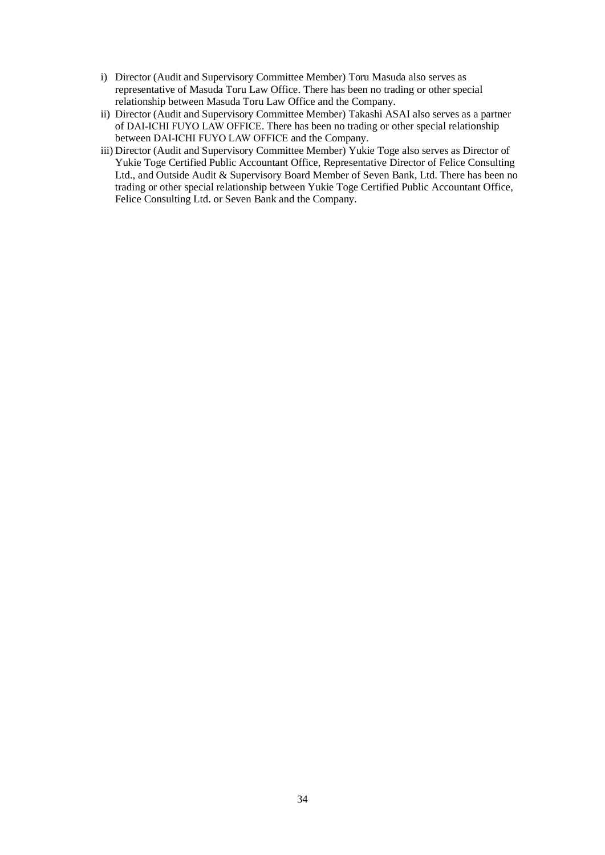- i) Director (Audit and Supervisory Committee Member) Toru Masuda also serves as representative of Masuda Toru Law Office. There has been no trading or other special relationship between Masuda Toru Law Office and the Company.
- ii) Director (Audit and Supervisory Committee Member) Takashi ASAI also serves as a partner of DAI-ICHI FUYO LAW OFFICE. There has been no trading or other special relationship between DAI-ICHI FUYO LAW OFFICE and the Company.
- iii) Director (Audit and Supervisory Committee Member) Yukie Toge also serves as Director of Yukie Toge Certified Public Accountant Office, Representative Director of Felice Consulting Ltd., and Outside Audit & Supervisory Board Member of Seven Bank, Ltd. There has been no trading or other special relationship between Yukie Toge Certified Public Accountant Office, Felice Consulting Ltd. or Seven Bank and the Company.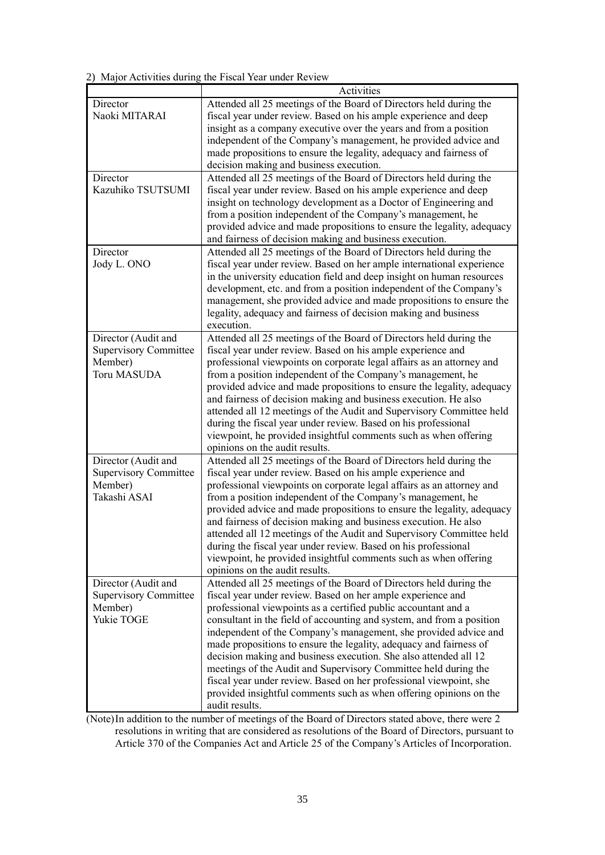2) Major Activities during the Fiscal Year under Review

|                              | Activities                                                                                                                             |
|------------------------------|----------------------------------------------------------------------------------------------------------------------------------------|
| Director                     | Attended all 25 meetings of the Board of Directors held during the                                                                     |
| Naoki MITARAI                | fiscal year under review. Based on his ample experience and deep                                                                       |
|                              | insight as a company executive over the years and from a position                                                                      |
|                              | independent of the Company's management, he provided advice and                                                                        |
|                              | made propositions to ensure the legality, adequacy and fairness of                                                                     |
|                              | decision making and business execution.                                                                                                |
| Director                     | Attended all 25 meetings of the Board of Directors held during the                                                                     |
| Kazuhiko TSUTSUMI            | fiscal year under review. Based on his ample experience and deep                                                                       |
|                              | insight on technology development as a Doctor of Engineering and                                                                       |
|                              | from a position independent of the Company's management, he                                                                            |
|                              | provided advice and made propositions to ensure the legality, adequacy                                                                 |
|                              | and fairness of decision making and business execution.                                                                                |
| Director                     | Attended all 25 meetings of the Board of Directors held during the                                                                     |
| Jody L. ONO                  | fiscal year under review. Based on her ample international experience                                                                  |
|                              | in the university education field and deep insight on human resources                                                                  |
|                              | development, etc. and from a position independent of the Company's                                                                     |
|                              | management, she provided advice and made propositions to ensure the                                                                    |
|                              | legality, adequacy and fairness of decision making and business                                                                        |
|                              | execution.                                                                                                                             |
| Director (Audit and          | Attended all 25 meetings of the Board of Directors held during the                                                                     |
| <b>Supervisory Committee</b> | fiscal year under review. Based on his ample experience and                                                                            |
| Member)                      |                                                                                                                                        |
| <b>Toru MASUDA</b>           | professional viewpoints on corporate legal affairs as an attorney and                                                                  |
|                              | from a position independent of the Company's management, he                                                                            |
|                              | provided advice and made propositions to ensure the legality, adequacy                                                                 |
|                              | and fairness of decision making and business execution. He also                                                                        |
|                              | attended all 12 meetings of the Audit and Supervisory Committee held<br>during the fiscal year under review. Based on his professional |
|                              | viewpoint, he provided insightful comments such as when offering                                                                       |
|                              | opinions on the audit results.                                                                                                         |
|                              |                                                                                                                                        |
| Director (Audit and          | Attended all 25 meetings of the Board of Directors held during the                                                                     |
| <b>Supervisory Committee</b> | fiscal year under review. Based on his ample experience and                                                                            |
| Member)<br>Takashi ASAI      | professional viewpoints on corporate legal affairs as an attorney and                                                                  |
|                              | from a position independent of the Company's management, he                                                                            |
|                              | provided advice and made propositions to ensure the legality, adequacy                                                                 |
|                              | and fairness of decision making and business execution. He also                                                                        |
|                              | attended all 12 meetings of the Audit and Supervisory Committee held                                                                   |
|                              | during the fiscal year under review. Based on his professional                                                                         |
|                              | viewpoint, he provided insightful comments such as when offering                                                                       |
|                              | opinions on the audit results.                                                                                                         |
| Director (Audit and          | Attended all 25 meetings of the Board of Directors held during the                                                                     |
| <b>Supervisory Committee</b> | fiscal year under review. Based on her ample experience and                                                                            |
| Member)                      | professional viewpoints as a certified public accountant and a                                                                         |
| Yukie TOGE                   | consultant in the field of accounting and system, and from a position                                                                  |
|                              | independent of the Company's management, she provided advice and                                                                       |
|                              | made propositions to ensure the legality, adequacy and fairness of                                                                     |
|                              | decision making and business execution. She also attended all 12                                                                       |
|                              | meetings of the Audit and Supervisory Committee held during the                                                                        |
|                              | fiscal year under review. Based on her professional viewpoint, she                                                                     |
|                              | provided insightful comments such as when offering opinions on the                                                                     |
|                              | audit results.                                                                                                                         |

(Note)In addition to the number of meetings of the Board of Directors stated above, there were 2 resolutions in writing that are considered as resolutions of the Board of Directors, pursuant to Article 370 of the Companies Act and Article 25 of the Company's Articles of Incorporation.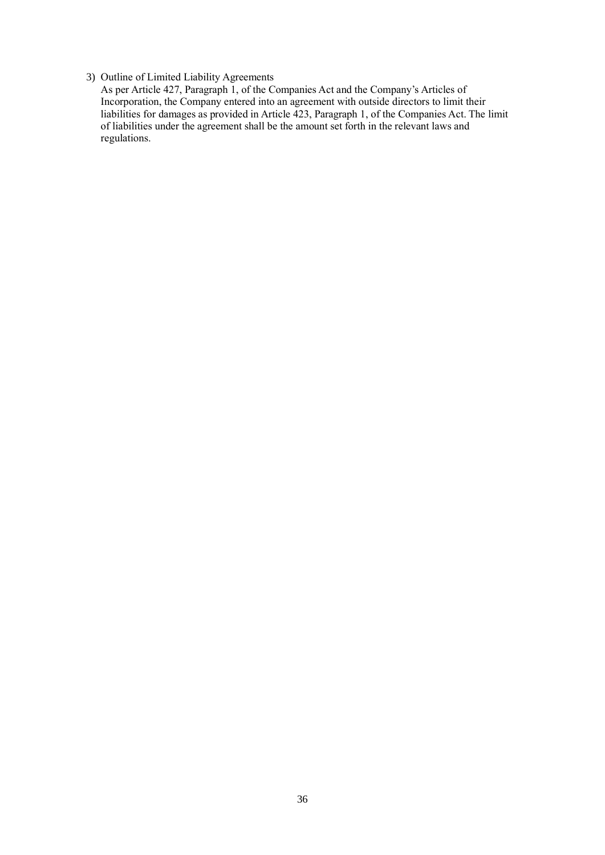# 3) Outline of Limited Liability Agreements

As per Article 427, Paragraph 1, of the Companies Act and the Company's Articles of Incorporation, the Company entered into an agreement with outside directors to limit their liabilities for damages as provided in Article 423, Paragraph 1, of the Companies Act. The limit of liabilities under the agreement shall be the amount set forth in the relevant laws and regulations.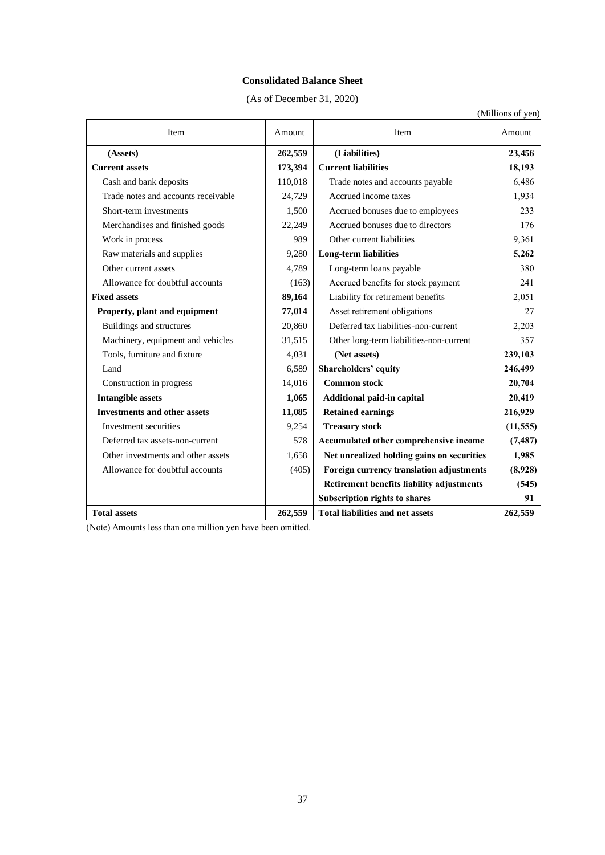### **Consolidated Balance Sheet**

(As of December 31, 2020)

|                                     |         |                                            | (Millions of yen) |
|-------------------------------------|---------|--------------------------------------------|-------------------|
| Item                                | Amount  | Item                                       | Amount            |
| (Assets)                            | 262,559 | (Liabilities)                              | 23,456            |
| <b>Current assets</b>               | 173,394 | <b>Current liabilities</b>                 | 18,193            |
| Cash and bank deposits              | 110,018 | Trade notes and accounts payable           | 6,486             |
| Trade notes and accounts receivable | 24.729  | Accrued income taxes                       | 1,934             |
| Short-term investments              | 1,500   | Accrued bonuses due to employees           | 233               |
| Merchandises and finished goods     | 22,249  | Accrued bonuses due to directors           | 176               |
| Work in process                     | 989     | Other current liabilities                  | 9,361             |
| Raw materials and supplies          | 9,280   | <b>Long-term liabilities</b>               | 5,262             |
| Other current assets                | 4,789   | Long-term loans payable                    | 380               |
| Allowance for doubtful accounts     | (163)   | Accrued benefits for stock payment         | 2.41              |
| <b>Fixed assets</b>                 | 89,164  | Liability for retirement benefits          | 2,051             |
| Property, plant and equipment       | 77,014  | Asset retirement obligations               | 27                |
| Buildings and structures            | 20,860  | Deferred tax liabilities-non-current       | 2,203             |
| Machinery, equipment and vehicles   | 31,515  | Other long-term liabilities-non-current    | 357               |
| Tools, furniture and fixture        | 4,031   | (Net assets)                               | 239,103           |
| Land                                | 6,589   | Shareholders' equity                       | 246,499           |
| Construction in progress            | 14,016  | <b>Common stock</b>                        | 20,704            |
| <b>Intangible assets</b>            | 1,065   | Additional paid-in capital                 | 20,419            |
| <b>Investments and other assets</b> | 11,085  | <b>Retained earnings</b>                   | 216,929           |
| Investment securities               | 9,254   | <b>Treasury stock</b>                      | (11, 555)         |
| Deferred tax assets-non-current     | 578     | Accumulated other comprehensive income     | (7, 487)          |
| Other investments and other assets  | 1,658   | Net unrealized holding gains on securities | 1,985             |
| Allowance for doubtful accounts     | (405)   | Foreign currency translation adjustments   | (8,928)           |
|                                     |         | Retirement benefits liability adjustments  | (545)             |
|                                     |         | <b>Subscription rights to shares</b>       | 91                |
| <b>Total assets</b>                 | 262,559 | <b>Total liabilities and net assets</b>    | 262,559           |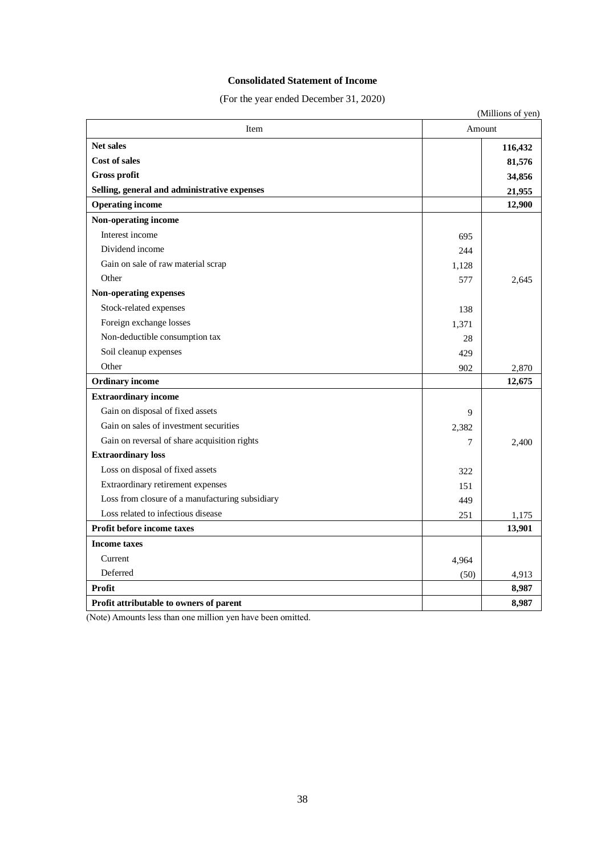### **Consolidated Statement of Income**

(For the year ended December 31, 2020)

|                                                 |        | (Millions of yen) |
|-------------------------------------------------|--------|-------------------|
| Item                                            | Amount |                   |
| <b>Net sales</b>                                |        | 116,432           |
| <b>Cost of sales</b>                            |        | 81,576            |
| <b>Gross profit</b>                             |        | 34,856            |
| Selling, general and administrative expenses    |        | 21,955            |
| <b>Operating income</b>                         |        | 12,900            |
| Non-operating income                            |        |                   |
| Interest income                                 | 695    |                   |
| Dividend income                                 | 244    |                   |
| Gain on sale of raw material scrap              | 1,128  |                   |
| Other                                           | 577    | 2.645             |
| Non-operating expenses                          |        |                   |
| Stock-related expenses                          | 138    |                   |
| Foreign exchange losses                         | 1,371  |                   |
| Non-deductible consumption tax                  | 28     |                   |
| Soil cleanup expenses                           | 429    |                   |
| Other                                           | 902    | 2,870             |
| <b>Ordinary</b> income                          |        | 12,675            |
| <b>Extraordinary income</b>                     |        |                   |
| Gain on disposal of fixed assets                | 9      |                   |
| Gain on sales of investment securities          | 2,382  |                   |
| Gain on reversal of share acquisition rights    | 7      | 2.400             |
| <b>Extraordinary loss</b>                       |        |                   |
| Loss on disposal of fixed assets                | 322    |                   |
| Extraordinary retirement expenses               | 151    |                   |
| Loss from closure of a manufacturing subsidiary | 449    |                   |
| Loss related to infectious disease              | 251    | 1,175             |
| <b>Profit before income taxes</b>               |        | 13,901            |
| <b>Income taxes</b>                             |        |                   |
| Current                                         | 4,964  |                   |
| Deferred                                        | (50)   | 4,913             |
| Profit                                          |        | 8,987             |
| <b>Profit attributable to owners of parent</b>  |        | 8,987             |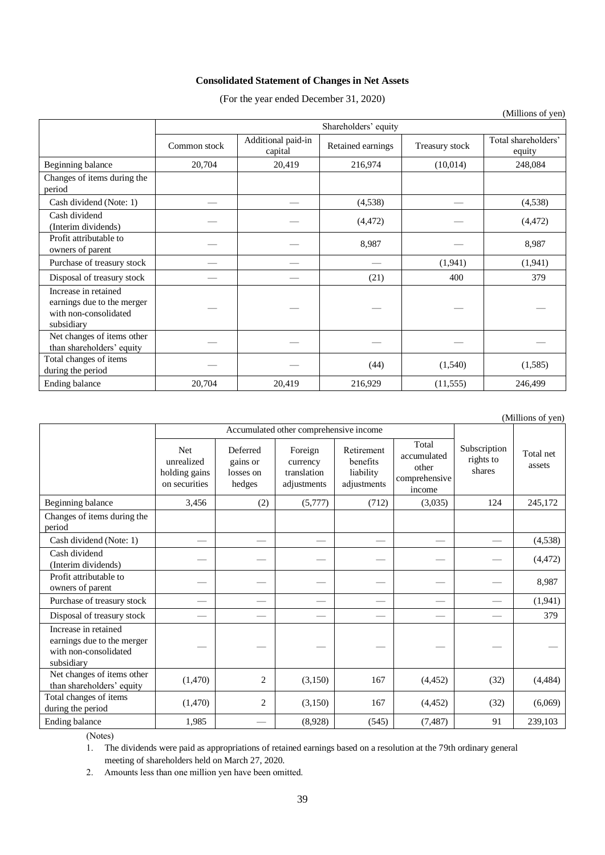# **Consolidated Statement of Changes in Net Assets**

(For the year ended December 31, 2020)

|                                                                                           | Shareholders' equity |                               |                   |                |                               |
|-------------------------------------------------------------------------------------------|----------------------|-------------------------------|-------------------|----------------|-------------------------------|
|                                                                                           | Common stock         | Additional paid-in<br>capital | Retained earnings | Treasury stock | Total shareholders'<br>equity |
| Beginning balance                                                                         | 20,704               | 20,419                        | 216,974           | (10,014)       | 248,084                       |
| Changes of items during the<br>period                                                     |                      |                               |                   |                |                               |
| Cash dividend (Note: 1)                                                                   |                      |                               | (4,538)           |                | (4,538)                       |
| Cash dividend<br>(Interim dividends)                                                      |                      |                               | (4, 472)          |                | (4, 472)                      |
| Profit attributable to<br>owners of parent                                                |                      |                               | 8,987             |                | 8,987                         |
| Purchase of treasury stock                                                                |                      |                               |                   | (1,941)        | (1,941)                       |
| Disposal of treasury stock                                                                |                      |                               | (21)              | 400            | 379                           |
| Increase in retained<br>earnings due to the merger<br>with non-consolidated<br>subsidiary |                      |                               |                   |                |                               |
| Net changes of items other<br>than shareholders' equity                                   |                      |                               |                   |                |                               |
| Total changes of items<br>during the period                                               |                      |                               | (44)              | (1,540)        | (1, 585)                      |
| Ending balance                                                                            | 20,704               | 20,419                        | 216,929           | (11, 555)      | 246,499                       |

(Millions of yen)

|                                                                                           |                                                            | Accumulated other comprehensive income      |                                                   |                                                    |                                                          |                                     |                     |
|-------------------------------------------------------------------------------------------|------------------------------------------------------------|---------------------------------------------|---------------------------------------------------|----------------------------------------------------|----------------------------------------------------------|-------------------------------------|---------------------|
|                                                                                           | <b>Net</b><br>unrealized<br>holding gains<br>on securities | Deferred<br>gains or<br>losses on<br>hedges | Foreign<br>currency<br>translation<br>adjustments | Retirement<br>benefits<br>liability<br>adjustments | Total<br>accumulated<br>other<br>comprehensive<br>income | Subscription<br>rights to<br>shares | Total net<br>assets |
| Beginning balance                                                                         | 3,456                                                      | (2)                                         | (5,777)                                           | (712)                                              | (3,035)                                                  | 124                                 | 245,172             |
| Changes of items during the<br>period                                                     |                                                            |                                             |                                                   |                                                    |                                                          |                                     |                     |
| Cash dividend (Note: 1)                                                                   |                                                            |                                             |                                                   |                                                    |                                                          |                                     | (4,538)             |
| Cash dividend<br>(Interim dividends)                                                      |                                                            |                                             |                                                   |                                                    |                                                          |                                     | (4, 472)            |
| Profit attributable to<br>owners of parent                                                |                                                            |                                             |                                                   |                                                    |                                                          |                                     | 8,987               |
| Purchase of treasury stock                                                                |                                                            |                                             |                                                   |                                                    |                                                          |                                     | (1,941)             |
| Disposal of treasury stock                                                                |                                                            |                                             |                                                   |                                                    |                                                          |                                     | 379                 |
| Increase in retained<br>earnings due to the merger<br>with non-consolidated<br>subsidiary |                                                            |                                             |                                                   |                                                    |                                                          |                                     |                     |
| Net changes of items other<br>than shareholders' equity                                   | (1,470)                                                    | 2                                           | (3,150)                                           | 167                                                | (4, 452)                                                 | (32)                                | (4, 484)            |
| Total changes of items<br>during the period                                               | (1,470)                                                    | 2                                           | (3,150)                                           | 167                                                | (4, 452)                                                 | (32)                                | (6,069)             |
| Ending balance                                                                            | 1,985                                                      |                                             | (8,928)                                           | (545)                                              | (7, 487)                                                 | 91                                  | 239,103             |

(Notes)

1. The dividends were paid as appropriations of retained earnings based on a resolution at the 79th ordinary general meeting of shareholders held on March 27, 2020.

2. Amounts less than one million yen have been omitted.

(Millions of yen)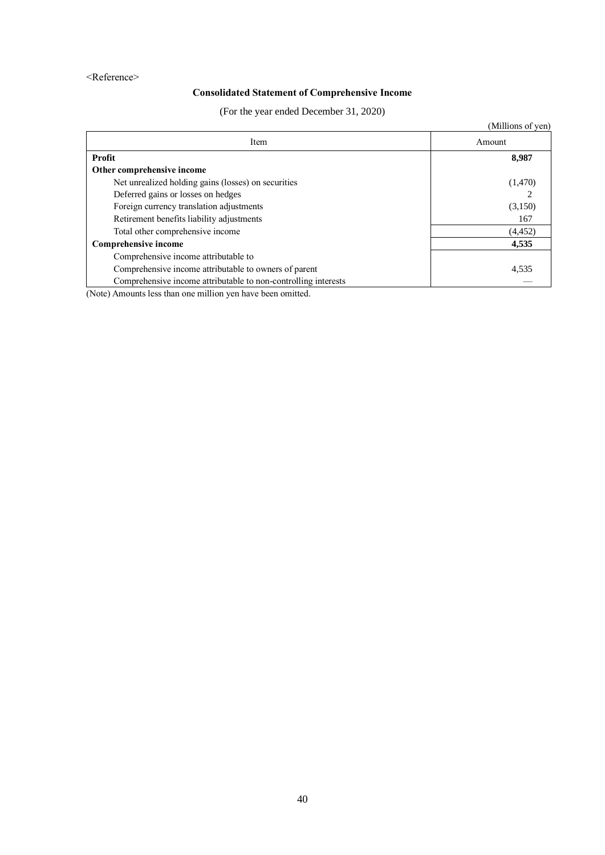### <Reference>

# **Consolidated Statement of Comprehensive Income**

(For the year ended December 31, 2020)

|                                                                | (Millions of yen) |
|----------------------------------------------------------------|-------------------|
| Item                                                           | Amount            |
| Profit                                                         | 8,987             |
| Other comprehensive income                                     |                   |
| Net unrealized holding gains (losses) on securities            | (1,470)           |
| Deferred gains or losses on hedges                             |                   |
| Foreign currency translation adjustments                       | (3,150)           |
| Retirement benefits liability adjustments                      | 167               |
| Total other comprehensive income                               | (4, 452)          |
| Comprehensive income                                           | 4,535             |
| Comprehensive income attributable to                           |                   |
| Comprehensive income attributable to owners of parent          | 4,535             |
| Comprehensive income attributable to non-controlling interests |                   |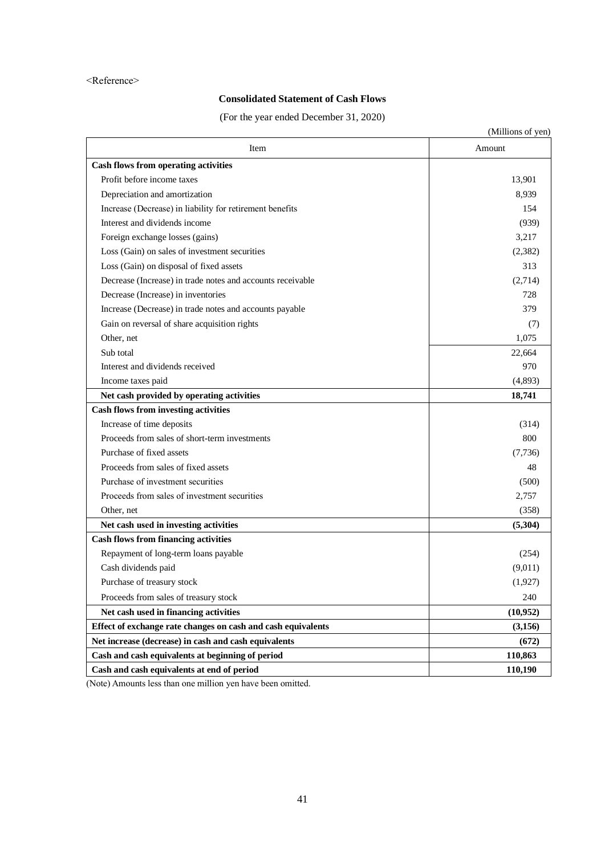#### <Reference>

# **Consolidated Statement of Cash Flows**

(For the year ended December 31, 2020)

|                                                              | (Millions of yen) |
|--------------------------------------------------------------|-------------------|
| Item                                                         | Amount            |
| <b>Cash flows from operating activities</b>                  |                   |
| Profit before income taxes                                   | 13,901            |
| Depreciation and amortization                                | 8,939             |
| Increase (Decrease) in liability for retirement benefits     | 154               |
| Interest and dividends income                                | (939)             |
| Foreign exchange losses (gains)                              | 3,217             |
| Loss (Gain) on sales of investment securities                | (2, 382)          |
| Loss (Gain) on disposal of fixed assets                      | 313               |
| Decrease (Increase) in trade notes and accounts receivable   | (2,714)           |
| Decrease (Increase) in inventories                           | 728               |
| Increase (Decrease) in trade notes and accounts payable      | 379               |
| Gain on reversal of share acquisition rights                 | (7)               |
| Other, net                                                   | 1,075             |
| Sub total                                                    | 22,664            |
| Interest and dividends received                              | 970               |
| Income taxes paid                                            | (4,893)           |
| Net cash provided by operating activities                    | 18,741            |
| <b>Cash flows from investing activities</b>                  |                   |
| Increase of time deposits                                    | (314)             |
| Proceeds from sales of short-term investments                | 800               |
| Purchase of fixed assets                                     | (7,736)           |
| Proceeds from sales of fixed assets                          | 48                |
| Purchase of investment securities                            | (500)             |
| Proceeds from sales of investment securities                 | 2,757             |
| Other, net                                                   | (358)             |
| Net cash used in investing activities                        | (5,304)           |
| <b>Cash flows from financing activities</b>                  |                   |
| Repayment of long-term loans payable                         | (254)             |
| Cash dividends paid                                          | (9,011)           |
| Purchase of treasury stock                                   | (1,927)           |
| Proceeds from sales of treasury stock                        | 240               |
| Net cash used in financing activities                        | (10, 952)         |
| Effect of exchange rate changes on cash and cash equivalents | (3,156)           |
| Net increase (decrease) in cash and cash equivalents         | (672)             |
| Cash and cash equivalents at beginning of period             | 110,863           |
| Cash and cash equivalents at end of period                   | 110,190           |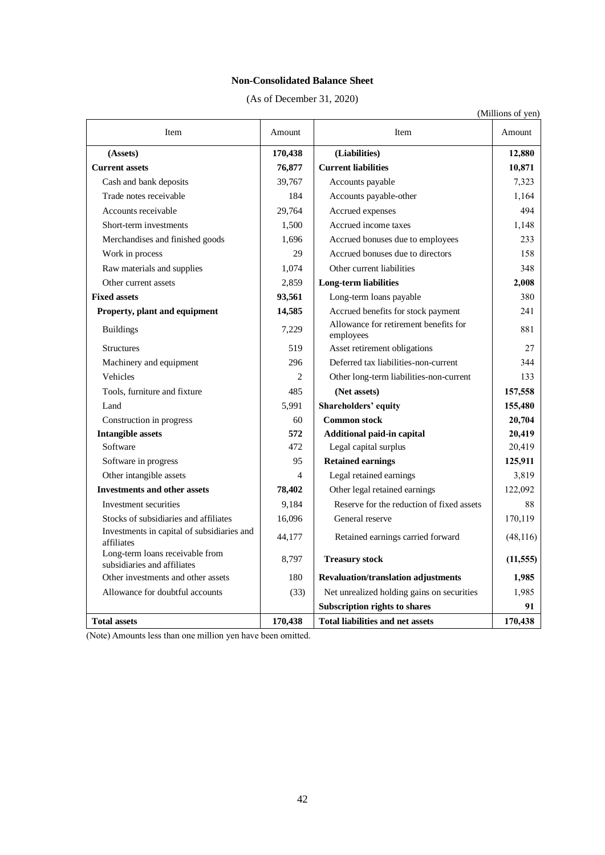### **Non-Consolidated Balance Sheet**

(As of December 31, 2020)

|                                                                |                |                                                    | (Millions of yen) |
|----------------------------------------------------------------|----------------|----------------------------------------------------|-------------------|
| Item                                                           | Amount         | Item                                               | Amount            |
| (Assets)                                                       | 170,438        | (Liabilities)                                      | 12,880            |
| <b>Current assets</b>                                          | 76,877         | <b>Current liabilities</b>                         | 10,871            |
| Cash and bank deposits                                         | 39,767         | Accounts payable                                   | 7,323             |
| Trade notes receivable                                         | 184            | Accounts payable-other                             | 1,164             |
| Accounts receivable                                            | 29,764         | Accrued expenses                                   | 494               |
| Short-term investments                                         | 1,500          | Accrued income taxes                               | 1,148             |
| Merchandises and finished goods                                | 1,696          | Accrued bonuses due to employees                   | 233               |
| Work in process                                                | 29             | Accrued bonuses due to directors                   | 158               |
| Raw materials and supplies                                     | 1,074          | Other current liabilities                          | 348               |
| Other current assets                                           | 2,859          | <b>Long-term liabilities</b>                       | 2,008             |
| <b>Fixed assets</b>                                            | 93,561         | Long-term loans payable                            | 380               |
| Property, plant and equipment                                  | 14,585         | Accrued benefits for stock payment                 | 241               |
| <b>Buildings</b>                                               | 7,229          | Allowance for retirement benefits for<br>employees | 881               |
| <b>Structures</b>                                              | 519            | Asset retirement obligations                       | 27                |
| Machinery and equipment                                        | 296            | Deferred tax liabilities-non-current               | 344               |
| Vehicles                                                       | $\mathfrak{D}$ | Other long-term liabilities-non-current            | 133               |
| Tools, furniture and fixture                                   | 485            | (Net assets)                                       | 157,558           |
| Land                                                           | 5,991          | <b>Shareholders' equity</b>                        | 155,480           |
| Construction in progress                                       | 60             | <b>Common stock</b>                                | 20,704            |
| <b>Intangible assets</b>                                       | 572            | Additional paid-in capital                         | 20,419            |
| Software                                                       | 472            | Legal capital surplus                              | 20,419            |
| Software in progress                                           | 95             | <b>Retained earnings</b>                           | 125,911           |
| Other intangible assets                                        | $\overline{4}$ | Legal retained earnings                            | 3,819             |
| <b>Investments and other assets</b>                            | 78,402         | Other legal retained earnings                      | 122,092           |
| Investment securities                                          | 9,184          | Reserve for the reduction of fixed assets          | 88                |
| Stocks of subsidiaries and affiliates                          | 16,096         | General reserve                                    | 170,119           |
| Investments in capital of subsidiaries and<br>affiliates       | 44,177         | Retained earnings carried forward                  | (48, 116)         |
| Long-term loans receivable from<br>subsidiaries and affiliates | 8,797          | <b>Treasury stock</b>                              | (11, 555)         |
| Other investments and other assets                             | 180            | <b>Revaluation/translation adjustments</b>         | 1,985             |
| Allowance for doubtful accounts                                | (33)           | Net unrealized holding gains on securities         | 1,985             |
|                                                                |                | <b>Subscription rights to shares</b>               | 91                |
| <b>Total assets</b>                                            | 170.438        | <b>Total liabilities and net assets</b>            | 170.438           |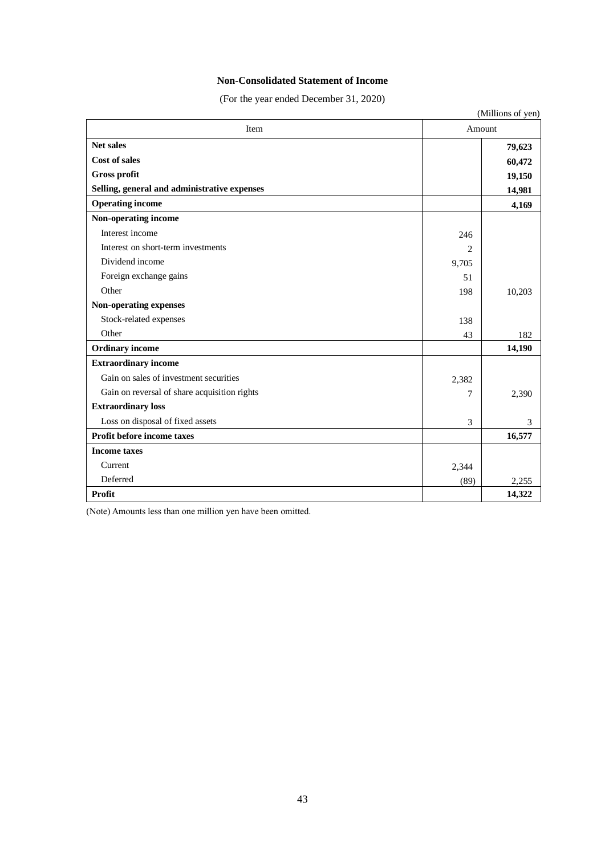### **Non-Consolidated Statement of Income**

(For the year ended December 31, 2020)

|                                              |       | (Millions of yen) |
|----------------------------------------------|-------|-------------------|
| Item                                         |       | Amount            |
| <b>Net sales</b>                             |       | 79,623            |
| Cost of sales                                |       | 60,472            |
| <b>Gross profit</b>                          |       | 19,150            |
| Selling, general and administrative expenses |       | 14,981            |
| <b>Operating income</b>                      |       | 4,169             |
| Non-operating income                         |       |                   |
| Interest income                              | 246   |                   |
| Interest on short-term investments           | 2     |                   |
| Dividend income                              | 9,705 |                   |
| Foreign exchange gains                       | 51    |                   |
| Other                                        | 198   | 10,203            |
| Non-operating expenses                       |       |                   |
| Stock-related expenses                       | 138   |                   |
| Other                                        | 43    | 182               |
| <b>Ordinary</b> income                       |       | 14,190            |
| <b>Extraordinary income</b>                  |       |                   |
| Gain on sales of investment securities       | 2,382 |                   |
| Gain on reversal of share acquisition rights | 7     | 2,390             |
| <b>Extraordinary loss</b>                    |       |                   |
| Loss on disposal of fixed assets             | 3     | 3                 |
| Profit before income taxes                   |       | 16,577            |
| <b>Income taxes</b>                          |       |                   |
| Current                                      | 2,344 |                   |
| Deferred                                     | (89)  | 2.255             |
| Profit                                       |       | 14,322            |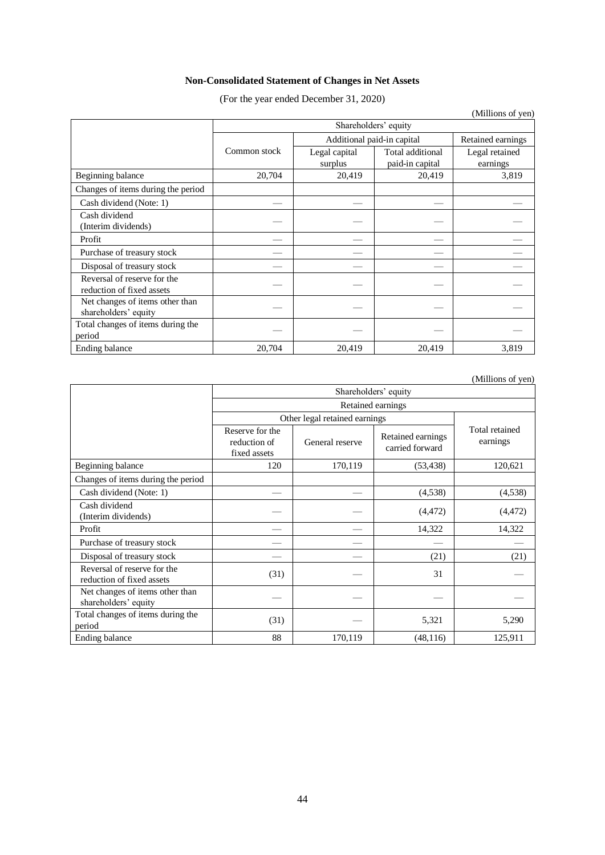# **Non-Consolidated Statement of Changes in Net Assets**

(For the year ended December 31, 2020)

|                                                          |                      |                            |                  | (Millions of yen) |  |  |
|----------------------------------------------------------|----------------------|----------------------------|------------------|-------------------|--|--|
|                                                          | Shareholders' equity |                            |                  |                   |  |  |
|                                                          |                      | Additional paid-in capital |                  | Retained earnings |  |  |
|                                                          | Common stock         | Legal capital              | Total additional | Legal retained    |  |  |
|                                                          |                      | surplus                    | paid-in capital  | earnings          |  |  |
| Beginning balance                                        | 20,704               | 20,419                     | 20,419           | 3,819             |  |  |
| Changes of items during the period                       |                      |                            |                  |                   |  |  |
| Cash dividend (Note: 1)                                  |                      |                            |                  |                   |  |  |
| Cash dividend<br>(Interim dividends)                     |                      |                            |                  |                   |  |  |
| Profit                                                   |                      |                            |                  |                   |  |  |
| Purchase of treasury stock                               |                      |                            |                  |                   |  |  |
| Disposal of treasury stock                               |                      |                            |                  |                   |  |  |
| Reversal of reserve for the<br>reduction of fixed assets |                      |                            |                  |                   |  |  |
| Net changes of items other than<br>shareholders' equity  |                      |                            |                  |                   |  |  |
| Total changes of items during the<br>period              |                      |                            |                  |                   |  |  |
| Ending balance                                           | 20,704               | 20,419                     | 20,419           | 3,819             |  |  |

(Millions of yen)

|                                                          | Shareholders' equity                            |                 |                                      |                            |  |  |
|----------------------------------------------------------|-------------------------------------------------|-----------------|--------------------------------------|----------------------------|--|--|
|                                                          | Retained earnings                               |                 |                                      |                            |  |  |
|                                                          | Other legal retained earnings                   |                 |                                      |                            |  |  |
|                                                          | Reserve for the<br>reduction of<br>fixed assets | General reserve | Retained earnings<br>carried forward | Total retained<br>earnings |  |  |
| Beginning balance                                        | 120                                             | 170,119         | (53, 438)                            | 120,621                    |  |  |
| Changes of items during the period                       |                                                 |                 |                                      |                            |  |  |
| Cash dividend (Note: 1)                                  |                                                 |                 | (4,538)                              | (4,538)                    |  |  |
| Cash dividend<br>(Interim dividends)                     |                                                 |                 | (4, 472)                             | (4, 472)                   |  |  |
| Profit                                                   |                                                 |                 | 14,322                               | 14,322                     |  |  |
| Purchase of treasury stock                               |                                                 |                 |                                      |                            |  |  |
| Disposal of treasury stock                               |                                                 |                 | (21)                                 | (21)                       |  |  |
| Reversal of reserve for the<br>reduction of fixed assets | (31)                                            |                 | 31                                   |                            |  |  |
| Net changes of items other than<br>shareholders' equity  |                                                 |                 |                                      |                            |  |  |
| Total changes of items during the<br>period              | (31)                                            |                 | 5,321                                | 5,290                      |  |  |
| Ending balance                                           | 88                                              | 170,119         | (48, 116)                            | 125,911                    |  |  |